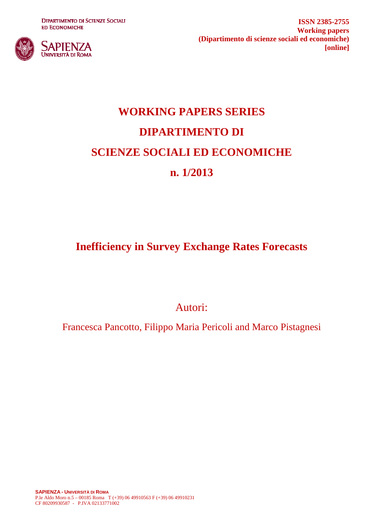**DIPARTIMENTO DI SCIENZE SOCIALI ED ECONOMICHE** 



**ISSN 2385-2755 Working papers (Dipartimento di scienze sociali ed economiche) [online]**

# **WORKING PAPERS SERIES DIPARTIMENTO DI SCIENZE SOCIALI ED ECONOMICHE n. 1/2013**

# **Inefficiency in Survey Exchange Rates Forecasts**

Autori:

Francesca Pancotto, Filippo Maria Pericoli and Marco Pistagnesi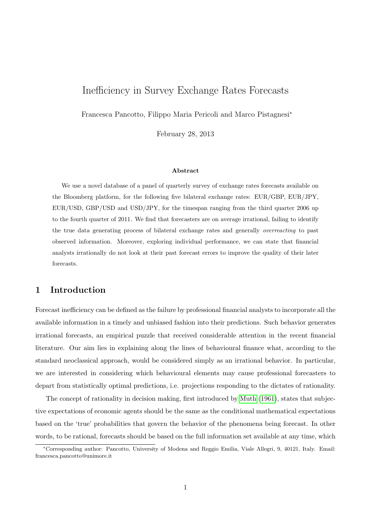# Inefficiency in Survey Exchange Rates Forecasts

Francesca Pancotto, Filippo Maria Pericoli and Marco Pistagnesi<sup>∗</sup>

February 28, 2013

#### Abstract

We use a novel database of a panel of quarterly survey of exchange rates forecasts available on the Bloomberg platform, for the following five bilateral exchange rates: EUR/GBP, EUR/JPY, EUR/USD, GBP/USD and USD/JPY, for the timespan ranging from the third quarter 2006 up to the fourth quarter of 2011. We find that forecasters are on average irrational, failing to identify the true data generating process of bilateral exchange rates and generally overreacting to past observed information. Moreover, exploring individual performance, we can state that financial analysts irrationally do not look at their past forecast errors to improve the quality of their later forecasts.

# 1 Introduction

Forecast inefficiency can be defined as the failure by professional financial analysts to incorporate all the available information in a timely and unbiased fashion into their predictions. Such behavior generates irrational forecasts, an empirical puzzle that received considerable attention in the recent financial literature. Our aim lies in explaining along the lines of behavioural finance what, according to the standard neoclassical approach, would be considered simply as an irrational behavior. In particular, we are interested in considering which behavioural elements may cause professional forecasters to depart from statistically optimal predictions, i.e. projections responding to the dictates of rationality.

The concept of rationality in decision making, first introduced by [Muth](#page-31-0) [\(1961\)](#page-31-0), states that subjective expectations of economic agents should be the same as the conditional mathematical expectations based on the 'true' probabilities that govern the behavior of the phenomena being forecast. In other words, to be rational, forecasts should be based on the full information set available at any time, which

<sup>∗</sup>Corresponding author: Pancotto, University of Modena and Reggio Emilia, Viale Allegri, 9, 40121, Italy. Email: francesca.pancotto@unimore.it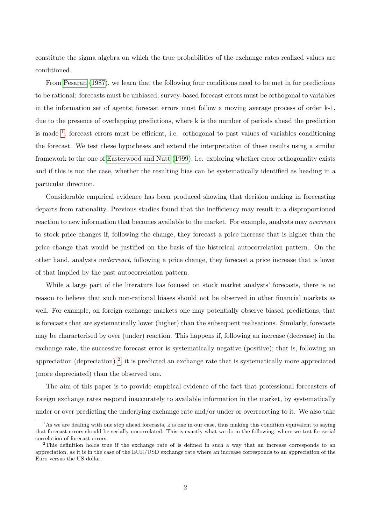constitute the sigma algebra on which the true probabilities of the exchange rates realized values are conditioned.

From [Pesaran](#page-31-1) [\(1987\)](#page-31-1), we learn that the following four conditions need to be met in for predictions to be rational: forecasts must be unbiased; survey-based forecast errors must be orthogonal to variables in the information set of agents; forecast errors must follow a moving average process of order k-1, due to the presence of overlapping predictions, where k is the number of periods ahead the prediction is made [1](#page-2-0) ; forecast errors must be efficient, i.e. orthogonal to past values of variables conditioning the forecast. We test these hypotheses and extend the interpretation of these results using a similar framework to the one of [Easterwood and Nutt](#page-30-0) [\(1999\)](#page-30-0), i.e. exploring whether error orthogonality exists and if this is not the case, whether the resulting bias can be systematically identified as heading in a particular direction.

Considerable empirical evidence has been produced showing that decision making in forecasting departs from rationality. Previous studies found that the inefficiency may result in a disproportioned reaction to new information that becomes available to the market. For example, analysts may *overreact* to stock price changes if, following the change, they forecast a price increase that is higher than the price change that would be justified on the basis of the historical autocorrelation pattern. On the other hand, analysts underreact, following a price change, they forecast a price increase that is lower of that implied by the past autocorrelation pattern.

While a large part of the literature has focused on stock market analysts' forecasts, there is no reason to believe that such non-rational biases should not be observed in other financial markets as well. For example, on foreign exchange markets one may potentially observe biased predictions, that is forecasts that are systematically lower (higher) than the subsequent realisations. Similarly, forecasts may be characterised by over (under) reaction. This happens if, following an increase (decrease) in the exchange rate, the successive forecast error is systematically negative (positive); that is, following an appreciation (depreciation)<sup>[2](#page-2-1)</sup>, it is predicted an exchange rate that is systematically more appreciated (more depreciated) than the observed one.

The aim of this paper is to provide empirical evidence of the fact that professional forecasters of foreign exchange rates respond inaccurately to available information in the market, by systematically under or over predicting the underlying exchange rate and/or under or overreacting to it. We also take

<span id="page-2-0"></span><sup>&</sup>lt;sup>1</sup>As we are dealing with one step ahead forecasts, k is one in our case, thus making this condition equivalent to saying that forecast errors should be serially uncorrelated. This is exactly what we do in the following, where we test for serial correlation of forecast errors.

<span id="page-2-1"></span><sup>2</sup>This definition holds true if the exchange rate of is defined in such a way that an increase corresponds to an appreciation, as it is in the case of the EUR/USD exchange rate where an increase corresponds to an appreciation of the Euro versus the US dollar.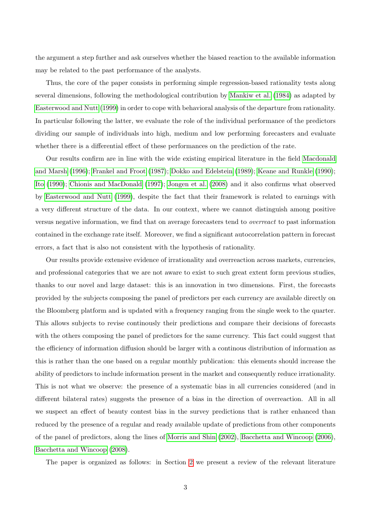the argument a step further and ask ourselves whether the biased reaction to the available information may be related to the past performance of the analysts.

Thus, the core of the paper consists in performing simple regression-based rationality tests along several dimensions, following the methodological contribution by [Mankiw et al.](#page-31-2) [\(1984\)](#page-31-2) as adapted by [Easterwood and Nutt](#page-30-0) [\(1999\)](#page-30-0) in order to cope with behavioral analysis of the departure from rationality. In particular following the latter, we evaluate the role of the individual performance of the predictors dividing our sample of individuals into high, medium and low performing forecasters and evaluate whether there is a differential effect of these performances on the prediction of the rate.

Our results confirm are in line with the wide existing empirical literature in the field [Macdonald](#page-31-3) [and Marsh](#page-31-3) [\(1996\)](#page-31-3); [Frankel and Froot](#page-30-1) [\(1987\)](#page-30-1); [Dokko and Edelstein](#page-30-2) [\(1989\)](#page-30-2); [Keane and Runkle](#page-31-4) [\(1990\)](#page-31-4); [Ito](#page-30-3) [\(1990\)](#page-30-3); [Chionis and MacDonald](#page-29-0) [\(1997\)](#page-29-0); [Jongen et al.](#page-30-4) [\(2008\)](#page-30-4) and it also confirms what observed by [Easterwood and Nutt](#page-30-0) [\(1999\)](#page-30-0), despite the fact that their framework is related to earnings with a very different structure of the data. In our context, where we cannot distinguish among positive versus negative information, we find that on average forecasters tend to overreact to past information contained in the exchange rate itself. Moreover, we find a significant autocorrelation pattern in forecast errors, a fact that is also not consistent with the hypothesis of rationality.

Our results provide extensive evidence of irrationality and overreaction across markets, currencies, and professional categories that we are not aware to exist to such great extent form previous studies, thanks to our novel and large dataset: this is an innovation in two dimensions. First, the forecasts provided by the subjects composing the panel of predictors per each currency are available directly on the Bloomberg platform and is updated with a frequency ranging from the single week to the quarter. This allows subjects to revise continously their predictions and compare their decisions of forecasts with the others composing the panel of predictors for the same currency. This fact could suggest that the efficiency of information diffusion should be larger with a continous distribution of information as this is rather than the one based on a regular monthly publication: this elements should increase the ability of predictors to include information present in the market and consequently reduce irrationality. This is not what we observe: the presence of a systematic bias in all currencies considered (and in different bilateral rates) suggests the presence of a bias in the direction of overreaction. All in all we suspect an effect of beauty contest bias in the survey predictions that is rather enhanced than reduced by the presence of a regular and ready available update of predictions from other components of the panel of predictors, along the lines of [Morris and Shin](#page-31-5) [\(2002\)](#page-31-5), [Bacchetta and Wincoop](#page-29-1) [\(2006\)](#page-29-1), [Bacchetta and Wincoop](#page-29-2) [\(2008\)](#page-29-2).

The paper is organized as follows: in Section [2](#page-4-0) we present a review of the relevant literature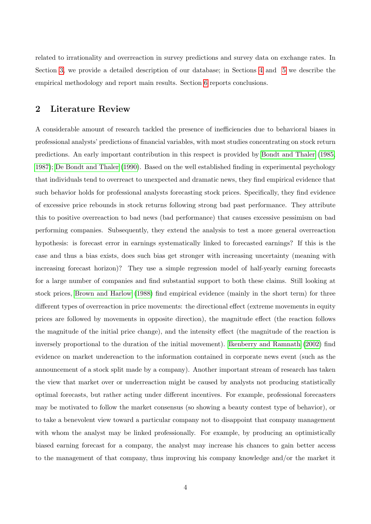related to irrationality and overreaction in survey predictions and survey data on exchange rates. In Section [3,](#page-7-0) we provide a detailed description of our database; in Sections [4](#page-10-0) and [5](#page-15-0) we describe the empirical methodology and report main results. Section [6](#page-18-0) reports conclusions.

# <span id="page-4-0"></span>2 Literature Review

A considerable amount of research tackled the presence of inefficiencies due to behavioral biases in professional analysts' predictions of financial variables, with most studies concentrating on stock return predictions. An early important contribution in this respect is provided by [Bondt and Thaler](#page-29-3) [\(1985,](#page-29-3) [1987\)](#page-29-4); [De Bondt and Thaler](#page-30-5) [\(1990\)](#page-30-5). Based on the well established finding in experimental psychology that individuals tend to overreact to unexpected and dramatic news, they find empirical evidence that such behavior holds for professional analysts forecasting stock prices. Specifically, they find evidence of excessive price rebounds in stock returns following strong bad past performance. They attribute this to positive overreaction to bad news (bad performance) that causes excessive pessimism on bad performing companies. Subsequently, they extend the analysis to test a more general overreaction hypothesis: is forecast error in earnings systematically linked to forecasted earnings? If this is the case and thus a bias exists, does such bias get stronger with increasing uncertainty (meaning with increasing forecast horizon)? They use a simple regression model of half-yearly earning forecasts for a large number of companies and find substantial support to both these claims. Still looking at stock prices, [Brown and Harlow](#page-29-5) [\(1988\)](#page-29-5) find empirical evidence (mainly in the short term) for three different types of overreaction in price movements: the directional effect (extreme movements in equity prices are followed by movements in opposite direction), the magnitude effect (the reaction follows the magnitude of the initial price change), and the intensity effect (the magnitude of the reaction is inversely proportional to the duration of the initial movement). [Ikenberry and Ramnath](#page-30-6) [\(2002\)](#page-30-6) find evidence on market undereaction to the information contained in corporate news event (such as the announcement of a stock split made by a company). Another important stream of research has taken the view that market over or underreaction might be caused by analysts not producing statistically optimal forecasts, but rather acting under different incentives. For example, professional forecasters may be motivated to follow the market consensus (so showing a beauty contest type of behavior), or to take a benevolent view toward a particular company not to disappoint that company management with whom the analyst may be linked professionally. For example, by producing an optimistically biased earning forecast for a company, the analyst may increase his chances to gain better access to the management of that company, thus improving his company knowledge and/or the market it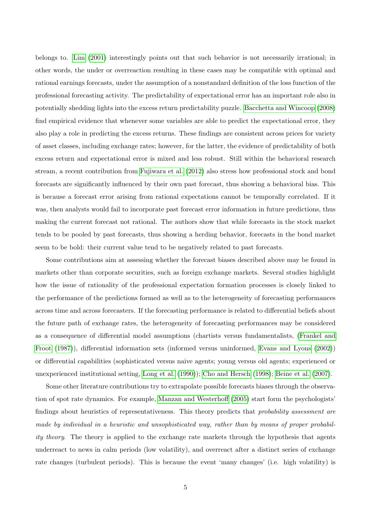belongs to. [Lim](#page-31-6) [\(2001\)](#page-31-6) interestingly points out that such behavior is not necessarily irrational; in other words, the under or overreaction resulting in these cases may be compatible with optimal and rational earnings forecasts, under the assumption of a nonstandard definition of the loss function of the professional forecasting activity. The predictability of expectational error has an important role also in potentially shedding lights into the excess return predictability puzzle. [Bacchetta and Wincoop](#page-29-2) [\(2008\)](#page-29-2) find empirical evidence that whenever some variables are able to predict the expectational error, they also play a role in predicting the excess returns. These findings are consistent across prices for variety of asset classes, including exchange rates; however, for the latter, the evidence of predictability of both excess return and expectational error is mixed and less robust. Still within the behavioral research stream, a recent contribution from [Fujiwara et al.](#page-30-7) [\(2012\)](#page-30-7) also stress how professional stock and bond forecasts are significantly influenced by their own past forecast, thus showing a behavioral bias. This is because a forecast error arising from rational expectations cannot be temporally correlated. If it was, then analysts would fail to incorporate past forecast error information in future predictions, thus making the current forecast not rational. The authors show that while forecasts in the stock market tends to be pooled by past forecasts, thus showing a herding behavior, forecasts in the bond market seem to be bold: their current value tend to be negatively related to past forecasts.

Some contributions aim at assessing whether the forecast biases described above may be found in markets other than corporate securities, such as foreign exchange markets. Several studies highlight how the issue of rationality of the professional expectation formation processes is closely linked to the performance of the predictions formed as well as to the heterogeneity of forecasting performances across time and across forecasters. If the forecasting performance is related to differential beliefs about the future path of exchange rates, the heterogeneity of forecasting performances may be considered as a consequence of differential model assumptions (chartists versus fundamentalists, [\(Frankel and](#page-30-1) [Froot](#page-30-1) [\(1987\)](#page-30-1)), differential information sets (informed versus uninformed, [Evans and Lyons](#page-30-8) [\(2002\)](#page-30-8)) or differential capabilities (sophisticated versus naive agents; young versus old agents; experienced or unexperienced institutional setting, [Long et al.](#page-31-7) [\(1990\)](#page-31-7)); [Cho and Hersch](#page-29-6) [\(1998\)](#page-29-6); [Beine et al.](#page-29-7) [\(2007\)](#page-29-7).

Some other literature contributions try to extrapolate possible forecasts biases through the observation of spot rate dynamics. For example, [Manzan and Westerhoff](#page-31-8) [\(2005\)](#page-31-8) start form the psychologists' findings about heuristics of representativeness. This theory predicts that *probability assessment are* made by individual in a heuristic and unsophisticated way, rather than by means of proper probability theory. The theory is applied to the exchange rate markets through the hypothesis that agents underreact to news in calm periods (low volatility), and overreact after a distinct series of exchange rate changes (turbulent periods). This is because the event 'many changes' (i.e. high volatility) is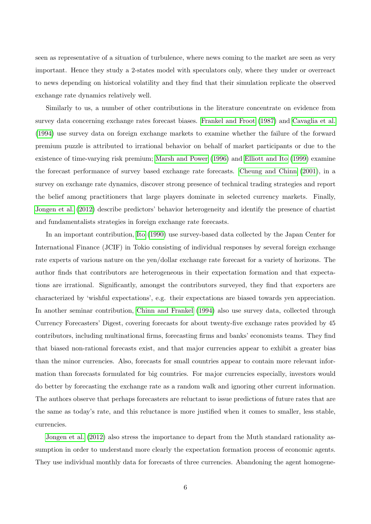seen as representative of a situation of turbulence, where news coming to the market are seen as very important. Hence they study a 2-states model with speculators only, where they under or overreact to news depending on historical volatility and they find that their simulation replicate the observed exchange rate dynamics relatively well.

Similarly to us, a number of other contributions in the literature concentrate on evidence from survey data concerning exchange rates forecast biases. [Frankel and Froot](#page-30-1) [\(1987\)](#page-30-1) and [Cavaglia et al.](#page-29-8) [\(1994\)](#page-29-8) use survey data on foreign exchange markets to examine whether the failure of the forward premium puzzle is attributed to irrational behavior on behalf of market participants or due to the existence of time-varying risk premium; [Marsh and Power](#page-31-9) [\(1996\)](#page-31-9) and [Elliott and Ito](#page-30-9) [\(1999\)](#page-30-9) examine the forecast performance of survey based exchange rate forecasts. [Cheung and Chinn](#page-29-9) [\(2001\)](#page-29-9), in a survey on exchange rate dynamics, discover strong presence of technical trading strategies and report the belief among practitioners that large players dominate in selected currency markets. Finally, [Jongen et al.](#page-30-10) [\(2012\)](#page-30-10) describe predictors' behavior heterogeneity and identify the presence of chartist and fundamentalists strategies in foreign exchange rate forecasts.

In an important contribution, [Ito](#page-30-3) [\(1990\)](#page-30-3) use survey-based data collected by the Japan Center for International Finance (JCIF) in Tokio consisting of individual responses by several foreign exchange rate experts of various nature on the yen/dollar exchange rate forecast for a variety of horizons. The author finds that contributors are heterogeneous in their expectation formation and that expectations are irrational. Significantly, amongst the contributors surveyed, they find that exporters are characterized by 'wishful expectations', e.g. their expectations are biased towards yen appreciation. In another seminar contribution, [Chinn and Frankel](#page-29-10) [\(1994\)](#page-29-10) also use survey data, collected through Currency Forecasters' Digest, covering forecasts for about twenty-five exchange rates provided by 45 contributors, including multinational firms, forecasting firms and banks' economists teams. They find that biased non-rational forecasts exist, and that major currencies appear to exhibit a greater bias than the minor currencies. Also, forecasts for small countries appear to contain more relevant information than forecasts formulated for big countries. For major currencies especially, investors would do better by forecasting the exchange rate as a random walk and ignoring other current information. The authors observe that perhaps forecasters are reluctant to issue predictions of future rates that are the same as today's rate, and this reluctance is more justified when it comes to smaller, less stable, currencies.

[Jongen et al.](#page-30-10) [\(2012\)](#page-30-10) also stress the importance to depart from the Muth standard rationality assumption in order to understand more clearly the expectation formation process of economic agents. They use individual monthly data for forecasts of three currencies. Abandoning the agent homogene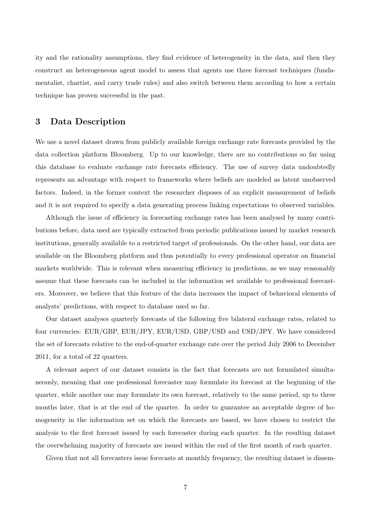ity and the rationality assumptions, they find evidence of heterogeneity in the data, and then they construct an heterogeneous agent model to assess that agents use three forecast techniques (fundamentalist, chartist, and carry trade rules) and also switch between them according to how a certain technique has proven successful in the past.

# <span id="page-7-0"></span>3 Data Description

We use a novel dataset drawn from publicly available foreign exchange rate forecasts provided by the data collection platform Bloomberg. Up to our knowledge, there are no contributions so far using this database to evaluate exchange rate forecasts efficiency. The use of survey data undoubtedly represents an advantage with respect to frameworks where beliefs are modeled as latent unobserved factors. Indeed, in the former context the researcher disposes of an explicit measurement of beliefs and it is not required to specify a data generating process linking expectations to observed variables.

Although the issue of efficiency in forecasting exchange rates has been analysed by many contributions before, data used are typically extracted from periodic publications issued by market research institutions, generally available to a restricted target of professionals. On the other hand, our data are available on the Bloomberg platform and thus potentially to every professional operator on financial markets worldwide. This is relevant when measuring efficiency in predictions, as we may reasonably assume that these forecasts can be included in the information set available to professional forecasters. Moreover, we believe that this feature of the data increases the impact of behavioral elements of analysts' predictions, with respect to database used so far.

Our dataset analyses quarterly forecasts of the following five bilateral exchange rates, related to four currencies: EUR/GBP, EUR/JPY, EUR/USD, GBP/USD and USD/JPY. We have considered the set of forecasts relative to the end-of-quarter exchange rate over the period July 2006 to December 2011, for a total of 22 quarters.

A relevant aspect of our dataset consists in the fact that forecasts are not formulated simultaneously, meaning that one professional forecaster may formulate its forecast at the beginning of the quarter, while another one may formulate its own forecast, relatively to the same period, up to three months later, that is at the end of the quarter. In order to guarantee an acceptable degree of homogeneity in the information set on which the forecasts are based, we have chosen to restrict the analysis to the first forecast issued by each forecaster during each quarter. In the resulting dataset the overwhelming majority of forecasts are issued within the end of the first month of each quarter.

Given that not all forecasters issue forecasts at monthly frequency, the resulting dataset is dissem-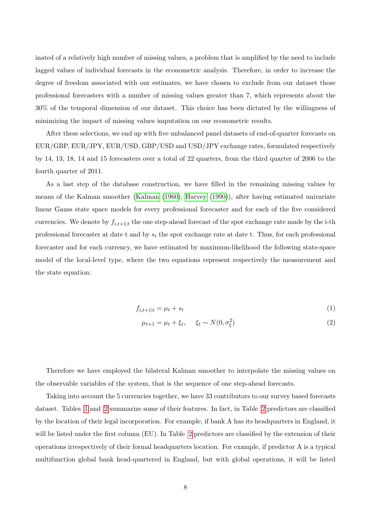inated of a relatively high number of missing values, a problem that is amplified by the need to include lagged values of individual forecasts in the econometric analysis. Therefore, in order to increase the degree of freedom associated with our estimates, we have chosen to exclude from our dataset those professional forecasters with a number of missing values greater than 7, which represents about the 30% of the temporal dimension of our dataset. This choice has been dictated by the willingness of minimizing the impact of missing values imputation on our econometric results.

After these selections, we end up with five unbalanced panel datasets of end-of-quarter forecasts on EUR/GBP, EUR/JPY, EUR/USD, GBP/USD and USD/JPY exchange rates, formulated respectively by 14, 13, 18, 14 and 15 forecasters over a total of 22 quarters, from the third quarter of 2006 to the fourth quarter of 2011.

As a last step of the database construction, we have filled in the remaining missing values by means of the Kalman smoother [\(Kalman](#page-30-11) [\(1960\)](#page-30-11), [Harvey](#page-30-12) [\(1990\)](#page-30-12)), after having estimated univariate linear Gauss state space models for every professional forecaster and for each of the five considered currencies. We denote by  $f_{i,t+1|t}$  the one step-ahead forecast of the spot exchange rate made by the i-th professional forecaster at date t and by  $s_t$  the spot exchange rate at date t. Thus, for each professional forecaster and for each currency, we have estimated by maximum-likelihood the following state-space model of the local-level type, where the two equations represent respectively the measurement and the state equation:

$$
f_{i,t+1|t} = \mu_t + s_t \tag{1}
$$

$$
\mu_{t+1} = \mu_t + \xi_t, \quad \xi_t \sim N(0, \sigma_{\xi}^2)
$$
\n
$$
(2)
$$

Therefore we have employed the bilateral Kalman smoother to interpolate the missing values on the observable variables of the system, that is the sequence of one step-ahead forecasts.

Taking into account the 5 currencies together, we have 33 contributors to our survey based forecasts dataset. Tables [1](#page-19-0) and [2](#page-19-1) summarize some of their features. In fact, in Table [2](#page-19-1) predictors are classified by the location of their legal incorporation. For example, if bank A has its headquarters in England, it will be listed under the first column (EU). In Table [2](#page-19-1) predictors are classified by the extension of their operations irrespectively of their formal headquarters location. For example, if predictor A is a typical multifunction global bank head-quartered in England, but with global operations, it will be listed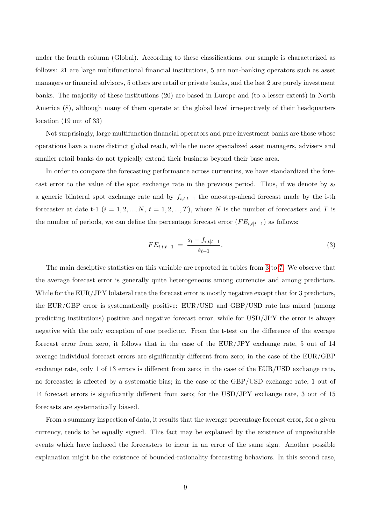under the fourth column (Global). According to these classifications, our sample is characterized as follows: 21 are large multifunctional financial institutions, 5 are non-banking operators such as asset managers or financial advisors, 5 others are retail or private banks, and the last 2 are purely investment banks. The majority of these institutions (20) are based in Europe and (to a lesser extent) in North America (8), although many of them operate at the global level irrespectively of their headquarters location (19 out of 33)

Not surprisingly, large multifunction financial operators and pure investment banks are those whose operations have a more distinct global reach, while the more specialized asset managers, advisers and smaller retail banks do not typically extend their business beyond their base area.

In order to compare the forecasting performance across currencies, we have standardized the forecast error to the value of the spot exchange rate in the previous period. Thus, if we denote by  $s_t$ a generic bilateral spot exchange rate and by  $f_{i, t|t-1}$  the one-step-ahead forecast made by the i-th forecaster at date t-1  $(i = 1, 2, ..., N, t = 1, 2, ..., T)$ , where N is the number of forecasters and T is the number of periods, we can define the percentage forecast error  $(FE_{i,t|t-1})$  as follows:

$$
FE_{i,t|t-1} = \frac{s_t - f_{i,t|t-1}}{s_{t-1}}.
$$
\n(3)

The main desciptive statistics on this variable are reported in tables from [3](#page-20-0) to [7.](#page-22-0) We observe that the average forecast error is generally quite heterogeneous among currencies and among predictors. While for the EUR/JPY bilateral rate the forecast error is mostly negative except that for 3 predictors, the EUR/GBP error is systematically positive: EUR/USD and GBP/USD rate has mixed (among predicting institutions) positive and negative forecast error, while for USD/JPY the error is always negative with the only exception of one predictor. From the t-test on the difference of the average forecast error from zero, it follows that in the case of the EUR/JPY exchange rate, 5 out of 14 average individual forecast errors are significantly different from zero; in the case of the EUR/GBP exchange rate, only 1 of 13 errors is different from zero; in the case of the EUR/USD exchange rate, no forecaster is affected by a systematic bias; in the case of the GBP/USD exchange rate, 1 out of 14 forecast errors is significantly different from zero; for the USD/JPY exchange rate, 3 out of 15 forecasts are systematically biased.

From a summary inspection of data, it results that the average percentage forecast error, for a given currency, tends to be equally signed. This fact may be explained by the existence of unpredictable events which have induced the forecasters to incur in an error of the same sign. Another possible explanation might be the existence of bounded-rationality forecasting behaviors. In this second case,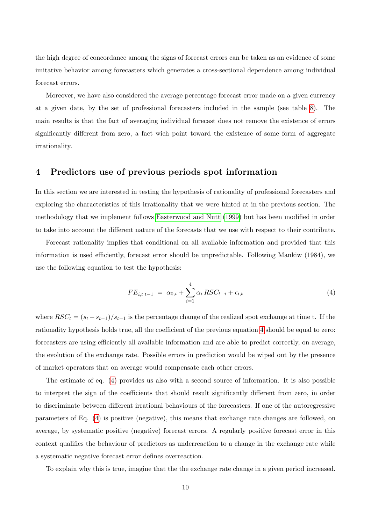the high degree of concordance among the signs of forecast errors can be taken as an evidence of some imitative behavior among forecasters which generates a cross-sectional dependence among individual forecast errors.

Moreover, we have also considered the average percentage forecast error made on a given currency at a given date, by the set of professional forecasters included in the sample (see table [8\)](#page-22-1). The main results is that the fact of averaging individual forecast does not remove the existence of errors significantly different from zero, a fact wich point toward the existence of some form of aggregate irrationality.

## <span id="page-10-0"></span>4 Predictors use of previous periods spot information

In this section we are interested in testing the hypothesis of rationality of professional forecasters and exploring the characteristics of this irrationality that we were hinted at in the previous section. The methodology that we implement follows [Easterwood and Nutt](#page-30-0) [\(1999\)](#page-30-0) but has been modified in order to take into account the different nature of the forecasts that we use with respect to their contribute.

Forecast rationality implies that conditional on all available information and provided that this information is used efficiently, forecast error should be unpredictable. Following Mankiw (1984), we use the following equation to test the hypothesis:

<span id="page-10-1"></span>
$$
FE_{i,t|t-1} = \alpha_{0,i} + \sum_{i=1}^{4} \alpha_i RSC_{t-i} + \epsilon_{i,t}
$$
\n(4)

where  $RSC_t = (s_t - s_{t-1})/s_{t-1}$  is the percentage change of the realized spot exchange at time t. If the rationality hypothesis holds true, all the coefficient of the previous equation [4](#page-10-1) should be equal to zero: forecasters are using efficiently all available information and are able to predict correctly, on average, the evolution of the exchange rate. Possible errors in prediction would be wiped out by the presence of market operators that on average would compensate each other errors.

The estimate of eq. [\(4\)](#page-10-1) provides us also with a second source of information. It is also possible to interpret the sign of the coefficients that should result significantly different from zero, in order to discriminate between different irrational behaviours of the forecasters. If one of the autoregressive parameters of Eq. [\(4\)](#page-10-1) is positive (negative), this means that exchange rate changes are followed, on average, by systematic positive (negative) forecast errors. A regularly positive forecast error in this context qualifies the behaviour of predictors as underreaction to a change in the exchange rate while a systematic negative forecast error defines overreaction.

To explain why this is true, imagine that the the exchange rate change in a given period increased.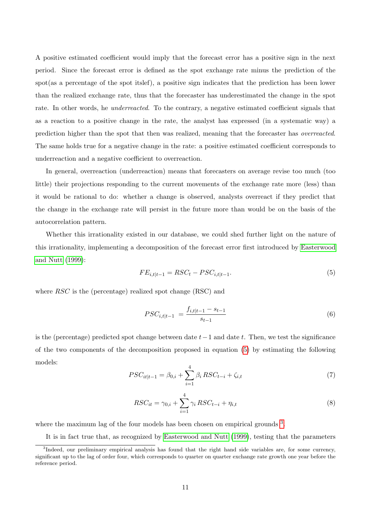A positive estimated coefficient would imply that the forecast error has a positive sign in the next period. Since the forecast error is defined as the spot exchange rate minus the prediction of the spot(as a percentage of the spot itslef), a positive sign indicates that the prediction has been lower than the realized exchange rate, thus that the forecaster has underestimated the change in the spot rate. In other words, he underreacted. To the contrary, a negative estimated coefficient signals that as a reaction to a positive change in the rate, the analyst has expressed (in a systematic way) a prediction higher than the spot that then was realized, meaning that the forecaster has overreacted. The same holds true for a negative change in the rate: a positive estimated coefficient corresponds to underreaction and a negative coefficient to overreaction.

In general, overreaction (underreaction) means that forecasters on average revise too much (too little) their projections responding to the current movements of the exchange rate more (less) than it would be rational to do: whether a change is observed, analysts overreact if they predict that the change in the exchange rate will persist in the future more than would be on the basis of the autocorrelation pattern.

Whether this irrationality existed in our database, we could shed further light on the nature of this irrationality, implementing a decomposition of the forecast error first introduced by [Easterwood](#page-30-0) [and Nutt](#page-30-0) [\(1999\)](#page-30-0):

<span id="page-11-0"></span>
$$
FE_{i,t|t-1} = RSC_t - PSC_{i,t|t-1}.\tag{5}
$$

where RSC is the (percentage) realized spot change (RSC) and

$$
PSC_{i,t|t-1} = \frac{f_{i,t|t-1} - s_{t-1}}{s_{t-1}}\tag{6}
$$

is the (percentage) predicted spot change between date  $t-1$  and date t. Then, we test the significance of the two components of the decomposition proposed in equation [\(5\)](#page-11-0) by estimating the following models:

<span id="page-11-2"></span>
$$
PSC_{it|t-1} = \beta_{0,i} + \sum_{i=1}^{4} \beta_i RSC_{t-i} + \zeta_{i,t}
$$
\n(7)

<span id="page-11-3"></span>
$$
RSC_{it} = \gamma_{0,i} + \sum_{i=1}^{4} \gamma_i RSC_{t-i} + \eta_{i,t}
$$
\n(8)

where the maximum lag of the four models has been chosen on empirical grounds  $3$ .

<span id="page-11-1"></span>It is in fact true that, as recognized by [Easterwood and Nutt](#page-30-0) [\(1999\)](#page-30-0), testing that the parameters

<sup>&</sup>lt;sup>3</sup>Indeed, our preliminary empirical analysis has found that the right hand side variables are, for some currency, significant up to the lag of order four, which corresponds to quarter on quarter exchange rate growth one year before the reference period.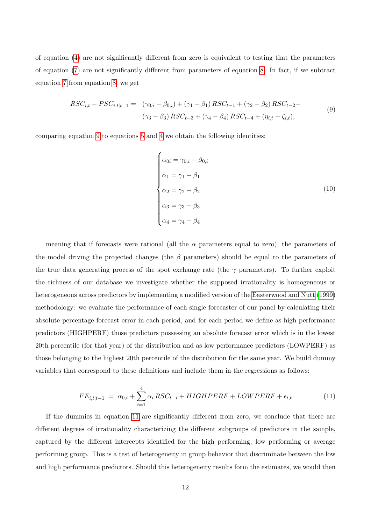of equation [\(4\)](#page-10-1) are not significantly different from zero is equivalent to testing that the parameters of equation [\(7\)](#page-11-2) are not significantly different from parameters of equation [8.](#page-11-3) In fact, if we subtract equation [7](#page-11-2) from equation [8,](#page-11-3) we get

<span id="page-12-0"></span>
$$
RSC_{i,t} - PSC_{i,t|t-1} = (\gamma_{0,i} - \beta_{0,i}) + (\gamma_1 - \beta_1) RSC_{t-1} + (\gamma_2 - \beta_2) RSC_{t-2} + (\gamma_3 - \beta_3) RSC_{t-3} + (\gamma_4 - \beta_4) RSC_{t-4} + (\eta_{i,t} - \zeta_{i,t}),
$$
\n(9)

comparing equation [9](#page-12-0) to equations [5](#page-11-0) and [4](#page-10-1) we obtain the following identities:

$$
\begin{cases}\n\alpha_{0i} = \gamma_{0,i} - \beta_{0,i} \\
\alpha_1 = \gamma_1 - \beta_1 \\
\alpha_2 = \gamma_2 - \beta_2 \\
\alpha_3 = \gamma_3 - \beta_3 \\
\alpha_4 = \gamma_4 - \beta_4\n\end{cases}
$$
\n(10)

meaning that if forecasts were rational (all the  $\alpha$  parameters equal to zero), the parameters of the model driving the projected changes (the  $\beta$  parameters) should be equal to the parameters of the true data generating process of the spot exchange rate (the  $\gamma$  parameters). To further exploit the richness of our database we investigate whether the supposed irrationality is homogeneous or heterogeneous across predictors by implementing a modified version of the [Easterwood and Nutt](#page-30-0) [\(1999\)](#page-30-0) methodology: we evaluate the performance of each single forecaster of our panel by calculating their absolute percentage forecast error in each period, and for each period we define as high performance predictors (HIGHPERF) those predictors possessing an absolute forecast error which is in the lowest 20th percentile (for that year) of the distribution and as low performance predictors (LOWPERF) as those belonging to the highest 20th percentile of the distribution for the same year. We build dummy variables that correspond to these definitions and include them in the regressions as follows:

<span id="page-12-1"></span>
$$
FE_{i,t|t-1} = \alpha_{0,i} + \sum_{i=1}^{4} \alpha_i RSC_{t-i} + HIGHPERF + LOWPERF + \epsilon_{i,t}
$$
\n(11)

If the dummies in equation [11](#page-12-1) are significantly different from zero, we conclude that there are different degrees of irrationality characterizing the different subgroups of predictors in the sample, captured by the different intercepts identified for the high performing, low performing or average performing group. This is a test of heterogeneity in group behavior that discriminate between the low and high performance predictors. Should this heterogeneity results form the estimates, we would then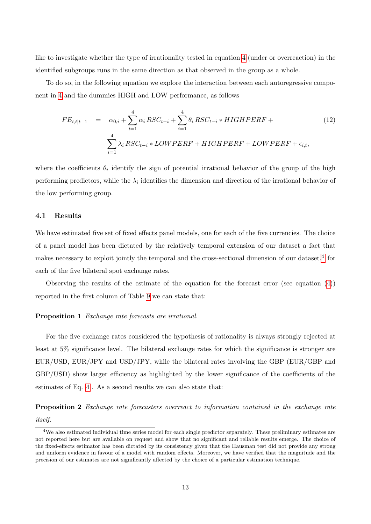like to investigate whether the type of irrationality tested in equation [4](#page-10-1) (under or overreaction) in the identified subgroups runs in the same direction as that observed in the group as a whole.

To do so, in the following equation we explore the interaction between each autoregressive component in [4](#page-10-1) and the dummies HIGH and LOW performance, as follows

$$
FE_{i,t|t-1} = \alpha_{0,i} + \sum_{i=1}^{4} \alpha_i RSC_{t-i} + \sum_{i=1}^{4} \theta_i RSC_{t-i} * HIGHPERF + \sum_{i=1}^{4} \lambda_i RSC_{t-i} * LOWPERF + HIGHPERF + LOWPERF + \epsilon_{i,t},
$$
\n
$$
(12)
$$

where the coefficients  $\theta_i$  identify the sign of potential irrational behavior of the group of the high performing predictors, while the  $\lambda_i$  identifies the dimension and direction of the irrational behavior of the low performing group.

#### 4.1 Results

We have estimated five set of fixed effects panel models, one for each of the five currencies. The choice of a panel model has been dictated by the relatively temporal extension of our dataset a fact that makes necessary to exploit jointly the temporal and the cross-sectional dimension of our dataset.<sup>[4](#page-13-0)</sup> for each of the five bilateral spot exchange rates.

Observing the results of the estimate of the equation for the forecast error (see equation [\(4\)](#page-10-1)) reported in the first column of Table [9](#page-23-0) we can state that:

#### Proposition 1 Exchange rate forecasts are irrational.

For the five exchange rates considered the hypothesis of rationality is always strongly rejected at least at 5% significance level. The bilateral exchange rates for which the significance is stronger are EUR/USD, EUR/JPY and USD/JPY, while the bilateral rates involving the GBP (EUR/GBP and GBP/USD) show larger efficiency as highlighted by the lower significance of the coefficients of the estimates of Eq. [4](#page-10-1) . As a second results we can also state that:

Proposition 2 Exchange rate forecasters overreact to information contained in the exchange rate itself.

<span id="page-13-0"></span><sup>&</sup>lt;sup>4</sup>We also estimated individual time series model for each single predictor separately. These preliminary estimates are not reported here but are available on request and show that no significant and reliable results emerge. The choice of the fixed-effects estimator has been dictated by its consistency given that the Hausman test did not provide any strong and uniform evidence in favour of a model with random effects. Moreover, we have verified that the magnitude and the precision of our estimates are not significantly affected by the choice of a particular estimation technique.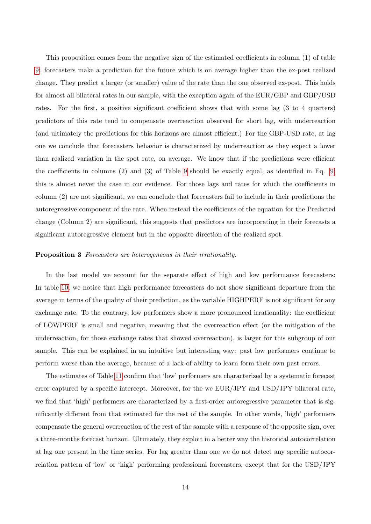This proposition comes from the negative sign of the estimated coefficients in column (1) of table [9:](#page-23-0) forecasters make a prediction for the future which is on average higher than the ex-post realized change. They predict a larger (or smaller) value of the rate than the one observed ex-post. This holds for almost all bilateral rates in our sample, with the exception again of the EUR/GBP and GBP/USD rates. For the first, a positive significant coefficient shows that with some lag (3 to 4 quarters) predictors of this rate tend to compensate overreaction observed for short lag, with underreaction (and ultimately the predictions for this horizons are almost efficient.) For the GBP-USD rate, at lag one we conclude that forecasters behavior is characterized by underreaction as they expect a lower than realized variation in the spot rate, on average. We know that if the predictions were efficient the coefficients in columns (2) and (3) of Table [9](#page-23-0) should be exactly equal, as identified in Eq. [9:](#page-12-0) this is almost never the case in our evidence. For those lags and rates for which the coefficients in column (2) are not significant, we can conclude that forecasters fail to include in their predictions the autoregressive component of the rate. When instead the coefficients of the equation for the Predicted change (Column 2) are significant, this suggests that predictors are incorporating in their forecasts a significant autoregressive element but in the opposite direction of the realized spot.

#### Proposition 3 Forecasters are heterogeneous in their irrationality.

In the last model we account for the separate effect of high and low performance forecasters: In table [10,](#page-24-0) we notice that high performance forecasters do not show significant departure from the average in terms of the quality of their prediction, as the variable HIGHPERF is not significant for any exchange rate. To the contrary, low performers show a more pronounced irrationality: the coefficient of LOWPERF is small and negative, meaning that the overreaction effect (or the mitigation of the underreaction, for those exchange rates that showed overreaction), is larger for this subgroup of our sample. This can be explained in an intuitive but interesting way: past low performers continue to perform worse than the average, because of a lack of ability to learn form their own past errors.

The estimates of Table [11](#page-25-0) confirm that 'low' performers are characterized by a systematic forecast error captured by a specific intercept. Moreover, for the we EUR/JPY and USD/JPY bilateral rate, we find that 'high' performers are characterized by a first-order autoregressive parameter that is significantly different from that estimated for the rest of the sample. In other words, 'high' performers compensate the general overreaction of the rest of the sample with a response of the opposite sign, over a three-months forecast horizon. Ultimately, they exploit in a better way the historical autocorrelation at lag one present in the time series. For lag greater than one we do not detect any specific autocorrelation pattern of 'low' or 'high' performing professional forecasters, except that for the USD/JPY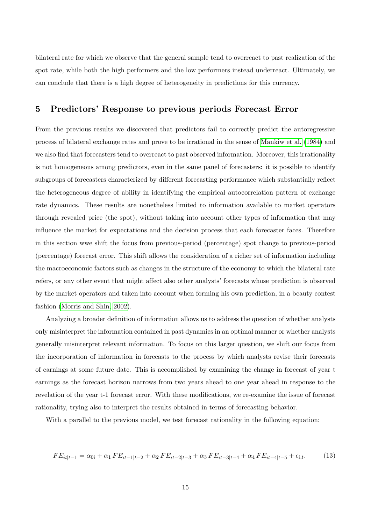bilateral rate for which we observe that the general sample tend to overreact to past realization of the spot rate, while both the high performers and the low performers instead underreact. Ultimately, we can conclude that there is a high degree of heterogeneity in predictions for this currency.

# <span id="page-15-0"></span>5 Predictors' Response to previous periods Forecast Error

From the previous results we discovered that predictors fail to correctly predict the autoregressive process of bilateral exchange rates and prove to be irrational in the sense of [Mankiw et al.](#page-31-2) [\(1984\)](#page-31-2) and we also find that forecasters tend to overreact to past observed information. Moreover, this irrationality is not homogeneous among predictors, even in the same panel of forecasters: it is possible to identify subgroups of forecasters characterized by different forecasting performance which substantially reflect the heterogeneous degree of ability in identifying the empirical autocorrelation pattern of exchange rate dynamics. These results are nonetheless limited to information available to market operators through revealed price (the spot), without taking into account other types of information that may influence the market for expectations and the decision process that each forecaster faces. Therefore in this section wwe shift the focus from previous-period (percentage) spot change to previous-period (percentage) forecast error. This shift allows the consideration of a richer set of information including the macroeconomic factors such as changes in the structure of the economy to which the bilateral rate refers, or any other event that might affect also other analysts' forecasts whose prediction is observed by the market operators and taken into account when forming his own prediction, in a beauty contest fashion [\(Morris and Shin, 2002\)](#page-31-5).

Analyzing a broader definition of information allows us to address the question of whether analysts only misinterpret the information contained in past dynamics in an optimal manner or whether analysts generally misinterpret relevant information. To focus on this larger question, we shift our focus from the incorporation of information in forecasts to the process by which analysts revise their forecasts of earnings at some future date. This is accomplished by examining the change in forecast of year t earnings as the forecast horizon narrows from two years ahead to one year ahead in response to the revelation of the year t-1 forecast error. With these modifications, we re-examine the issue of forecast rationality, trying also to interpret the results obtained in terms of forecasting behavior.

With a parallel to the previous model, we test forecast rationality in the following equation:

<span id="page-15-1"></span>
$$
FE_{it|t-1} = \alpha_{0i} + \alpha_1 FE_{it-1|t-2} + \alpha_2 FE_{it-2|t-3} + \alpha_3 FE_{it-3|t-4} + \alpha_4 FE_{it-4|t-5} + \epsilon_{i,t}.
$$
 (13)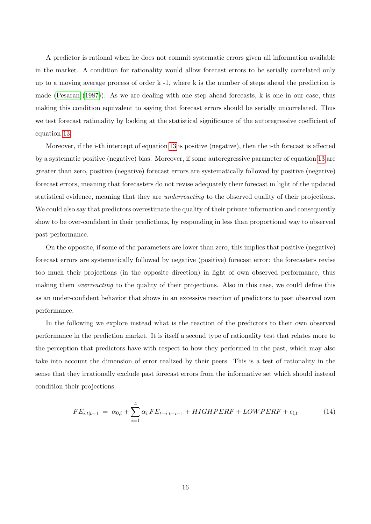A predictor is rational when he does not commit systematic errors given all information available in the market. A condition for rationality would allow forecast errors to be serially correlated only up to a moving average process of order k -1, where k is the number of steps ahead the prediction is made [\(Pesaran](#page-31-1) [\(1987\)](#page-31-1)). As we are dealing with one step ahead forecasts, k is one in our case, thus making this condition equivalent to saying that forecast errors should be serially uncorrelated. Thus we test forecast rationality by looking at the statistical significance of the autoregressive coefficient of equation [13.](#page-15-1)

Moreover, if the i-th intercept of equation [13](#page-15-1) is positive (negative), then the i-th forecast is affected by a systematic positive (negative) bias. Moreover, if some autoregressive parameter of equation [13](#page-15-1) are greater than zero, positive (negative) forecast errors are systematically followed by positive (negative) forecast errors, meaning that forecasters do not revise adequately their forecast in light of the updated statistical evidence, meaning that they are underreacting to the observed quality of their projections. We could also say that predictors overestimate the quality of their private information and consequently show to be over-confident in their predictions, by responding in less than proportional way to observed past performance.

On the opposite, if some of the parameters are lower than zero, this implies that positive (negative) forecast errors are systematically followed by negative (positive) forecast error: the forecasters revise too much their projections (in the opposite direction) in light of own observed performance, thus making them overreacting to the quality of their projections. Also in this case, we could define this as an under-confident behavior that shows in an excessive reaction of predictors to past observed own performance.

In the following we explore instead what is the reaction of the predictors to their own observed performance in the prediction market. It is itself a second type of rationality test that relates more to the perception that predictors have with respect to how they performed in the past, which may also take into account the dimension of error realized by their peers. This is a test of rationality in the sense that they irrationally exclude past forecast errors from the informative set which should instead condition their projections.

$$
FE_{i,t|t-1} = \alpha_{0,i} + \sum_{i=1}^{4} \alpha_i FE_{t-i|t-i-1} + HIGHPERF + LOWPERF + \epsilon_{i,t}
$$
\n(14)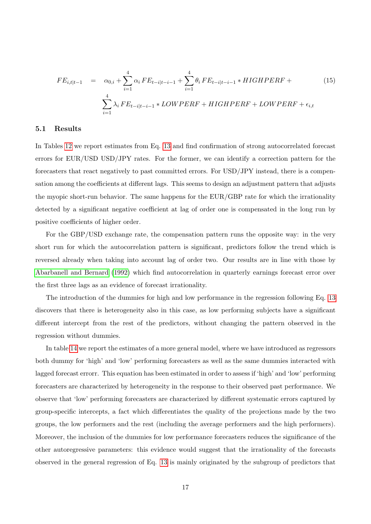$$
FE_{i,t|t-1} = \alpha_{0,i} + \sum_{i=1}^{4} \alpha_i FE_{t-i|t-i-1} + \sum_{i=1}^{4} \theta_i FE_{t-i|t-i-1} * HIGHPERF + \sum_{i=1}^{4} \lambda_i FE_{t-i|t-i-1} * LOWPERF + HIGHPERF + LOWPERF + \epsilon_{i,t}
$$
\n(15)

#### 5.1 Results

In Tables [12](#page-26-0) we report estimates from Eq. [13](#page-15-1) and find confirmation of strong autocorrelated forecast errors for EUR/USD USD/JPY rates. For the former, we can identify a correction pattern for the forecasters that react negatively to past committed errors. For USD/JPY instead, there is a compensation among the coefficients at different lags. This seems to design an adjustment pattern that adjusts the myopic short-run behavior. The same happens for the EUR/GBP rate for which the irrationality detected by a significant negative coefficient at lag of order one is compensated in the long run by positive coefficients of higher order.

For the GBP/USD exchange rate, the compensation pattern runs the opposite way: in the very short run for which the autocorrelation pattern is significant, predictors follow the trend which is reversed already when taking into account lag of order two. Our results are in line with those by [Abarbanell and Bernard](#page-29-11) [\(1992\)](#page-29-11) which find autocorrelation in quarterly earnings forecast error over the first three lags as an evidence of forecast irrationality.

The introduction of the dummies for high and low performance in the regression following Eq. [13](#page-27-0) discovers that there is heterogeneity also in this case, as low performing subjects have a significant different intercept from the rest of the predictors, without changing the pattern observed in the regression without dummies.

In table [14](#page-28-0) we report the estimates of a more general model, where we have introduced as regressors both dummy for 'high' and 'low' performing forecasters as well as the same dummies interacted with lagged forecast errorr. This equation has been estimated in order to assess if 'high' and 'low' performing forecasters are characterized by heterogeneity in the response to their observed past performance. We observe that 'low' performing forecasters are characterized by different systematic errors captured by group-specific intercepts, a fact which differentiates the quality of the projections made by the two groups, the low performers and the rest (including the average performers and the high performers). Moreover, the inclusion of the dummies for low performance forecasters reduces the significance of the other autoregressive parameters: this evidence would suggest that the irrationality of the forecasts observed in the general regression of Eq. [13](#page-15-1) is mainly originated by the subgroup of predictors that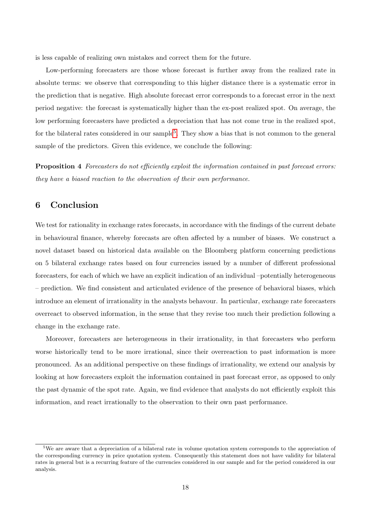is less capable of realizing own mistakes and correct them for the future.

Low-performing forecasters are those whose forecast is further away from the realized rate in absolute terms: we observe that corresponding to this higher distance there is a systematic error in the prediction that is negative. High absolute forecast error corresponds to a forecast error in the next period negative: the forecast is systematically higher than the ex-post realized spot. On average, the low performing forecasters have predicted a depreciation that has not come true in the realized spot, for the bilateral rates considered in our sample<sup>[5](#page-18-1)</sup>. They show a bias that is not common to the general sample of the predictors. Given this evidence, we conclude the following:

Proposition 4 Forecasters do not efficiently exploit the information contained in past forecast errors: they have a biased reaction to the observation of their own performance.

# <span id="page-18-0"></span>6 Conclusion

We test for rationality in exchange rates forecasts, in accordance with the findings of the current debate in behavioural finance, whereby forecasts are often affected by a number of biases. We construct a novel dataset based on historical data available on the Bloomberg platform concerning predictions on 5 bilateral exchange rates based on four currencies issued by a number of different professional forecasters, for each of which we have an explicit indication of an individual –potentially heterogeneous – prediction. We find consistent and articulated evidence of the presence of behavioral biases, which introduce an element of irrationality in the analysts behavour. In particular, exchange rate forecasters overreact to observed information, in the sense that they revise too much their prediction following a change in the exchange rate.

Moreover, forecasters are heterogeneous in their irrationality, in that forecasters who perform worse historically tend to be more irrational, since their overreaction to past information is more pronounced. As an additional perspective on these findings of irrationality, we extend our analysis by looking at how forecasters exploit the information contained in past forecast error, as opposed to only the past dynamic of the spot rate. Again, we find evidence that analysts do not efficiently exploit this information, and react irrationally to the observation to their own past performance.

<span id="page-18-1"></span><sup>5</sup>We are aware that a depreciation of a bilateral rate in volume quotation system corresponds to the appreciation of the corresponding currency in price quotation system. Consequently this statement does not have validity for bilateral rates in general but is a recurring feature of the currencies considered in our sample and for the period considered in our analysis.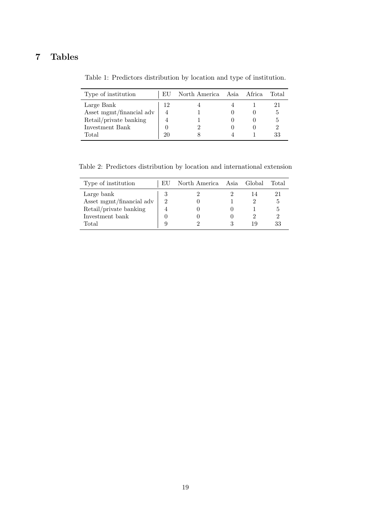# <span id="page-19-0"></span>7 Tables

Table 1: Predictors distribution by location and type of institution.

| Type of institution      |    | North America Asia Africa |  | Total |
|--------------------------|----|---------------------------|--|-------|
| Large Bank               | 12 |                           |  |       |
| Asset mgmt/financial adv |    |                           |  |       |
| Retail/private banking   |    |                           |  |       |
| Investment Bank          |    |                           |  |       |
| Total                    | 20 |                           |  | 33    |

<span id="page-19-1"></span>Table 2: Predictors distribution by location and international extension

| Type of institution      | EU. | North America Asia Global |    | Total' |
|--------------------------|-----|---------------------------|----|--------|
| Large bank               |     |                           | 14 |        |
| Asset mgmt/financial adv | 2   |                           |    |        |
| Retail/private banking   |     |                           |    | h      |
| Investment bank          |     |                           |    |        |
| Total                    |     |                           | τu | 33     |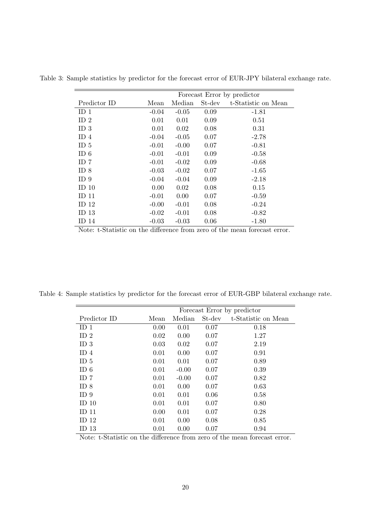|                  |         |         |          | Forecast Error by predictor |
|------------------|---------|---------|----------|-----------------------------|
| Predictor ID     | Mean    | Median  | $St-dev$ | t-Statistic on Mean         |
| ID <sub>1</sub>  | $-0.04$ | $-0.05$ | 0.09     | $-1.81$                     |
| ID <sub>2</sub>  | 0.01    | 0.01    | 0.09     | 0.51                        |
| ID <sub>3</sub>  | 0.01    | 0.02    | 0.08     | 0.31                        |
| ID <sub>4</sub>  | $-0.04$ | $-0.05$ | 0.07     | $-2.78$                     |
| ID <sub>5</sub>  | $-0.01$ | $-0.00$ | 0.07     | $-0.81$                     |
| ID <sub>6</sub>  | $-0.01$ | $-0.01$ | 0.09     | $-0.58$                     |
| ID 7             | $-0.01$ | $-0.02$ | 0.09     | $-0.68$                     |
| ID <sub>8</sub>  | $-0.03$ | $-0.02$ | 0.07     | $-1.65$                     |
| ID 9             | $-0.04$ | $-0.04$ | 0.09     | $-2.18$                     |
| ID <sub>10</sub> | 0.00    | 0.02    | 0.08     | 0.15                        |
| ID <sub>11</sub> | $-0.01$ | 0.00    | 0.07     | $-0.59$                     |
| ID <sub>12</sub> | $-0.00$ | $-0.01$ | 0.08     | $-0.24$                     |
| ID <sub>13</sub> | $-0.02$ | $-0.01$ | 0.08     | $-0.82$                     |
| ID 14            | $-0.03$ | $-0.03$ | 0.06     | $-1.80$                     |

<span id="page-20-0"></span>Table 3: Sample statistics by predictor for the forecast error of EUR-JPY bilateral exchange rate.

Note: t-Statistic on the difference from zero of the mean forecast error.

Table 4: Sample statistics by predictor for the forecast error of EUR-GBP bilateral exchange rate.

|                  |      |         |        | Forecast Error by predictor |
|------------------|------|---------|--------|-----------------------------|
| Predictor ID     | Mean | Median  | St-dev | t-Statistic on Mean         |
| ID <sub>1</sub>  | 0.00 | 0.01    | 0.07   | 0.18                        |
| ID <sub>2</sub>  | 0.02 | 0.00    | 0.07   | 1.27                        |
| $ID_3$           | 0.03 | 0.02    | 0.07   | 2.19                        |
| ID4              | 0.01 | 0.00    | 0.07   | 0.91                        |
| ID <sub>5</sub>  | 0.01 | 0.01    | 0.07   | 0.89                        |
| ID 6             | 0.01 | $-0.00$ | 0.07   | 0.39                        |
| ID 7             | 0.01 | $-0.00$ | 0.07   | 0.82                        |
| ID 8             | 0.01 | 0.00    | 0.07   | 0.63                        |
| ID 9             | 0.01 | 0.01    | 0.06   | 0.58                        |
| ID <sub>10</sub> | 0.01 | 0.01    | 0.07   | 0.80                        |
| ID <sub>11</sub> | 0.00 | 0.01    | 0.07   | 0.28                        |
| ID <sub>12</sub> | 0.01 | 0.00    | 0.08   | 0.85                        |
| ID <sub>13</sub> | 0.01 | 0.00    | 0.07   | 0.94                        |

Note: t-Statistic on the difference from zero of the mean forecast error.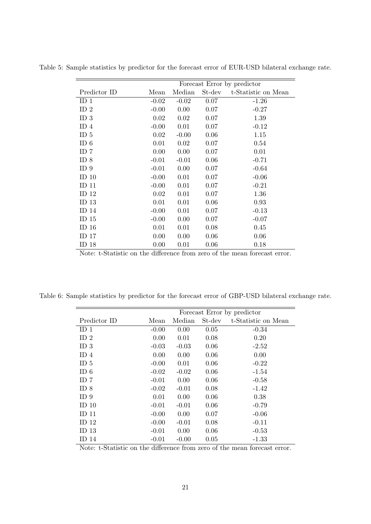|                  |         |         |        | Forecast Error by predictor |
|------------------|---------|---------|--------|-----------------------------|
| Predictor ID     | Mean    | Median  | St-dev | t-Statistic on Mean         |
| ID <sub>1</sub>  | $-0.02$ | $-0.02$ | 0.07   | $-1.26$                     |
| ID <sub>2</sub>  | $-0.00$ | 0.00    | 0.07   | $-0.27$                     |
| $ID_3$           | 0.02    | 0.02    | 0.07   | 1.39                        |
| ID <sub>4</sub>  | $-0.00$ | 0.01    | 0.07   | $-0.12$                     |
| ID <sub>5</sub>  | 0.02    | $-0.00$ | 0.06   | 1.15                        |
| ID <sub>6</sub>  | 0.01    | 0.02    | 0.07   | 0.54                        |
| ID 7             | 0.00    | 0.00    | 0.07   | 0.01                        |
| ID <sub>8</sub>  | $-0.01$ | $-0.01$ | 0.06   | $-0.71$                     |
| ID <sub>9</sub>  | $-0.01$ | 0.00    | 0.07   | $-0.64$                     |
| ID <sub>10</sub> | $-0.00$ | 0.01    | 0.07   | $-0.06$                     |
| ID 11            | $-0.00$ | 0.01    | 0.07   | $-0.21$                     |
| ID <sub>12</sub> | 0.02    | 0.01    | 0.07   | 1.36                        |
| ID <sub>13</sub> | 0.01    | 0.01    | 0.06   | 0.93                        |
| ID <sub>14</sub> | $-0.00$ | 0.01    | 0.07   | $-0.13$                     |
| ID <sub>15</sub> | $-0.00$ | 0.00    | 0.07   | $-0.07$                     |
| ID <sub>16</sub> | 0.01    | 0.01    | 0.08   | 0.45                        |
| ID 17            | 0.00    | 0.00    | 0.06   | 0.06                        |
| ID <sub>18</sub> | 0.00    | 0.01    | 0.06   | 0.18                        |

Table 5: Sample statistics by predictor for the forecast error of EUR-USD bilateral exchange rate.

Note: t-Statistic on the difference from zero of the mean forecast error.

Table 6: Sample statistics by predictor for the forecast error of GBP-USD bilateral exchange rate.

|                  |         |         |        | Forecast Error by predictor |
|------------------|---------|---------|--------|-----------------------------|
| Predictor ID     | Mean    | Median  | St-dev | t-Statistic on Mean         |
| ID <sub>1</sub>  | $-0.00$ | 0.00    | 0.05   | $-0.34$                     |
| ID <sub>2</sub>  | 0.00    | 0.01    | 0.08   | 0.20                        |
| $ID_3$           | $-0.03$ | $-0.03$ | 0.06   | $-2.52$                     |
| ID <sub>4</sub>  | 0.00    | 0.00    | 0.06   | 0.00                        |
| ID <sub>5</sub>  | $-0.00$ | 0.01    | 0.06   | $-0.22$                     |
| ID <sub>6</sub>  | $-0.02$ | $-0.02$ | 0.06   | $-1.54$                     |
| ID <sub>7</sub>  | $-0.01$ | 0.00    | 0.06   | $-0.58$                     |
| $ID_8$           | $-0.02$ | $-0.01$ | 0.08   | $-1.42$                     |
| ID <sub>9</sub>  | 0.01    | 0.00    | 0.06   | 0.38                        |
| ID <sub>10</sub> | $-0.01$ | $-0.01$ | 0.06   | $-0.79$                     |
| ID <sub>11</sub> | $-0.00$ | 0.00    | 0.07   | $-0.06$                     |
| ID <sub>12</sub> | $-0.00$ | $-0.01$ | 0.08   | $-0.11$                     |
| ID <sub>13</sub> | $-0.01$ | 0.00    | 0.06   | $-0.53$                     |
| ID 14            | $-0.01$ | $-0.00$ | 0.05   | $-1.33$                     |

Note: t-Statistic on the difference from zero of the mean forecast error.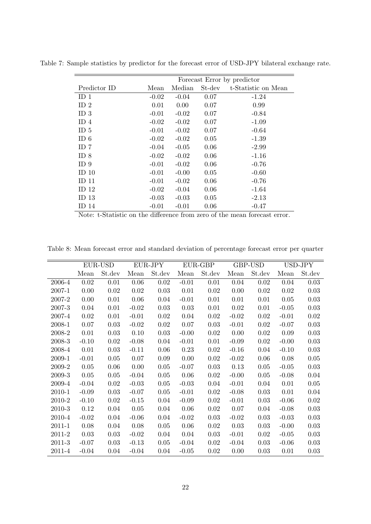|                  |         |         |          | Forecast Error by predictor |
|------------------|---------|---------|----------|-----------------------------|
| Predictor ID     | Mean    | Median  | $St-dev$ | t-Statistic on Mean         |
| ID 1             | $-0.02$ | $-0.04$ | 0.07     | $-1.24$                     |
| ID <sub>2</sub>  | 0.01    | 0.00    | 0.07     | 0.99                        |
| ID <sub>3</sub>  | $-0.01$ | $-0.02$ | 0.07     | $-0.84$                     |
| ID <sub>4</sub>  | $-0.02$ | $-0.02$ | 0.07     | $-1.09$                     |
| ID <sub>5</sub>  | $-0.01$ | $-0.02$ | 0.07     | $-0.64$                     |
| ID <sub>6</sub>  | $-0.02$ | $-0.02$ | 0.05     | $-1.39$                     |
| ID 7             | $-0.04$ | $-0.05$ | 0.06     | $-2.99$                     |
| ID 8             | $-0.02$ | $-0.02$ | 0.06     | $-1.16$                     |
| ID <sub>9</sub>  | $-0.01$ | $-0.02$ | 0.06     | $-0.76$                     |
| ID <sub>10</sub> | $-0.01$ | $-0.00$ | 0.05     | $-0.60$                     |
| ID 11            | $-0.01$ | $-0.02$ | 0.06     | $-0.76$                     |
| ID 12            | $-0.02$ | $-0.04$ | 0.06     | $-1.64$                     |
| ID <sub>13</sub> | $-0.03$ | $-0.03$ | 0.05     | $-2.13$                     |
| ID 14            | $-0.01$ | $-0.01$ | 0.06     | $-0.47$                     |

<span id="page-22-0"></span>Table 7: Sample statistics by predictor for the forecast error of USD-JPY bilateral exchange rate.

Note: t-Statistic on the difference from zero of the mean forecast error.

<span id="page-22-1"></span>Table 8: Mean forecast error and standard deviation of percentage forecast error per quarter

|        |         | EUR-USD  |          | EUR-JPY  |         | EUR-GBP |         | GBP-USD |         | USD-JPY |
|--------|---------|----------|----------|----------|---------|---------|---------|---------|---------|---------|
|        | Mean    | St.dev   | Mean     | St.dev   | Mean    | St.dev  | Mean    | St.dev  | Mean    | St.dev  |
| 2006-4 | 0.02    | 0.01     | 0.06     | 0.02     | $-0.01$ | 0.01    | 0.04    | 0.02    | 0.04    | 0.03    |
| 2007-1 | 0.00    | 0.02     | 0.02     | 0.03     | 0.01    | 0.02    | 0.00    | 0.02    | 0.02    | 0.03    |
| 2007-2 | 0.00    | 0.01     | 0.06     | 0.04     | $-0.01$ | 0.01    | 0.01    | 0.01    | 0.05    | 0.03    |
| 2007-3 | 0.04    | 0.01     | $-0.02$  | 0.03     | 0.03    | 0.01    | 0.02    | 0.01    | $-0.05$ | 0.03    |
| 2007-4 | 0.02    | 0.01     | $-0.01$  | 0.02     | 0.04    | 0.02    | $-0.02$ | 0.02    | $-0.01$ | 0.02    |
| 2008-1 | 0.07    | 0.03     | $-0.02$  | 0.02     | 0.07    | 0.03    | $-0.01$ | 0.02    | $-0.07$ | 0.03    |
| 2008-2 | 0.01    | 0.03     | 0.10     | 0.03     | $-0.00$ | 0.02    | 0.00    | 0.02    | 0.09    | 0.03    |
| 2008-3 | $-0.10$ | 0.02     | $-0.08$  | 0.04     | $-0.01$ | 0.01    | $-0.09$ | 0.02    | $-0.00$ | 0.03    |
| 2008-4 | 0.01    | 0.03     | $-0.11$  | 0.06     | 0.23    | 0.02    | $-0.16$ | 0.04    | $-0.10$ | 0.03    |
| 2009-1 | $-0.01$ | $0.05\,$ | 0.07     | 0.09     | 0.00    | 0.02    | $-0.02$ | 0.06    | 0.08    | 0.05    |
| 2009-2 | 0.05    | 0.06     | 0.00     | 0.05     | $-0.07$ | 0.03    | 0.13    | 0.05    | $-0.05$ | 0.03    |
| 2009-3 | 0.05    | 0.05     | $-0.04$  | 0.05     | 0.06    | 0.02    | $-0.00$ | 0.05    | $-0.08$ | 0.04    |
| 2009-4 | $-0.04$ | 0.02     | $-0.03$  | $0.05\,$ | $-0.03$ | 0.04    | $-0.01$ | 0.04    | 0.01    | 0.05    |
| 2010-1 | $-0.09$ | 0.03     | $-0.07$  | 0.05     | $-0.01$ | 0.02    | $-0.08$ | 0.03    | 0.01    | 0.04    |
| 2010-2 | $-0.10$ | 0.02     | $-0.15$  | 0.04     | $-0.09$ | 0.02    | $-0.01$ | 0.03    | $-0.06$ | 0.02    |
| 2010-3 | 0.12    | 0.04     | $0.05\,$ | 0.04     | 0.06    | 0.02    | 0.07    | 0.04    | $-0.08$ | 0.03    |
| 2010-4 | $-0.02$ | 0.04     | $-0.06$  | 0.04     | $-0.02$ | 0.03    | $-0.02$ | 0.03    | $-0.03$ | 0.03    |
| 2011-1 | 0.08    | 0.04     | 0.08     | 0.05     | 0.06    | 0.02    | 0.03    | 0.03    | $-0.00$ | 0.03    |
| 2011-2 | 0.03    | 0.03     | $-0.02$  | 0.04     | 0.04    | 0.03    | $-0.01$ | 0.02    | $-0.05$ | 0.03    |
| 2011-3 | $-0.07$ | 0.03     | $-0.13$  | 0.05     | $-0.04$ | 0.02    | $-0.04$ | 0.03    | $-0.06$ | 0.03    |
| 2011-4 | $-0.04$ | 0.04     | $-0.04$  | 0.04     | $-0.05$ | 0.02    | 0.00    | 0.03    | 0.01    | 0.03    |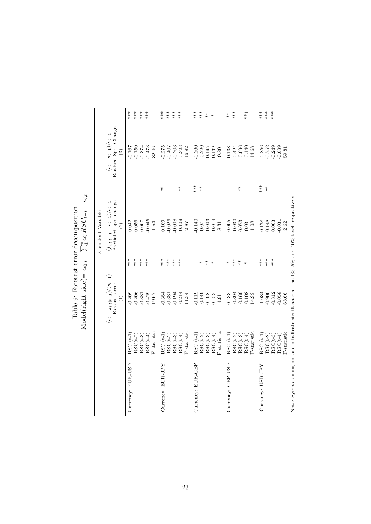| Table 9: Forecast error decomposition | $\frac{1}{2}$<br>$PSC_{t-i}$<br>$\alpha_i$ $K$<br>$^{+}$<br>t side) = $\alpha_{0,i}$ |
|---------------------------------------|--------------------------------------------------------------------------------------|
|                                       |                                                                                      |
|                                       | lodel(right                                                                          |

<span id="page-23-0"></span>

|                   |                                                                                                                   |                                                                   |                                              | Dependent Variable                                                             |                                       |                                                              |                                           |
|-------------------|-------------------------------------------------------------------------------------------------------------------|-------------------------------------------------------------------|----------------------------------------------|--------------------------------------------------------------------------------|---------------------------------------|--------------------------------------------------------------|-------------------------------------------|
|                   |                                                                                                                   | $(s_t - f_{i, t t-1})/(s_{t-1})$<br>Forecast error<br>$\bigoplus$ |                                              | Predicted spot change<br>$(f_{i,t t-1} - s_{t-1})/s_{t-1}$<br>$\widehat{c}$    |                                       | Realized Spot Change<br>$(s_t - s_{t-1})/s_{t-1}$<br>$\odot$ |                                           |
| Currency: EUR-USD | F-statistic<br>$RSC$ $(t-1)$<br>$\begin{array}{l} \text{RSC (t-2)} \\ \text{RSC (t-3)} \end{array}$<br>$RSC(t-4)$ | $0.209$<br>$0.206$<br>$0.381$<br>$0.429$<br>19.67                 | $***$<br>$***$<br>$***$<br>$**\n$            | $\begin{array}{c} 0.042 \\ 0.056 \\ 0.007 \\ 0.045 \\ 1.54 \end{array}$        |                                       | $-0.167$<br>$-0.150$<br>$-0.374$<br>$-0.473$<br>$-0.473$     | $***$<br>$***$<br>***<br>$***$            |
| Currency: EUR-JPY | F-statistic<br>$RSC(t-1)$<br>$\begin{array}{l} \text{RSC (t-2)}\\ \text{RSC (t-3)} \end{array}$<br>$RSC(t-4)$     | $0.384$<br>$0.381$<br>$0.194$<br>$0.214$<br>11.34                 | $***$<br>$***$<br>$***$<br>$***$             | $\begin{array}{c} 0.109 \\ -0.026 \\ -0.008 \\ -0.109 \end{array}$<br>2.87     | $\stackrel{*}{\ast}$<br>$\frac{*}{*}$ | $-0.275$<br>$-0.407$<br>$-0.203$<br>$-0.323$<br>16.92        | $**\n$<br>$***$<br>$***$<br>***           |
| Currency: EUR-GBP | F-statistic:<br>$RSC(t-1)$<br>$\begin{array}{l} \text{RSC (t-2)} \\ \text{RSC (t-3)} \end{array}$<br>$RSC(t-4)$   | $-0.119$<br>$-0.149$<br>0.198<br>0.153<br>$4.91\,$                | $\frac{*}{*}$                                | $-0.140$<br>$-0.071$<br>$-0.003$<br>$-0.014$<br>8.31                           | ***<br>$\frac{*}{*}$                  | $-0.260$<br>$-0.220$<br>$0.195$<br>0.139<br>9.80             | $***$<br>$***$<br>$\frac{*}{*}$<br>$\ast$ |
| Currency: GBP-USD | F-statistic<br>$RSC(t-1)$<br>$\begin{array}{l} \text{RSC (t-2)} \\ \text{RSC (t-3)} \end{array}$<br>$RSC(t-4)$    | $0.133$<br>$-0.394$<br>$-0.169$<br>$-0.108$<br>$14.92$            | $***$<br>$\stackrel{*}{\ast}$<br>$\ast$<br>∗ | $\begin{array}{c} 0.005 \\ -0.030 \\ 0.073 \\ -0.031 \\ -0.031 \\ \end{array}$ | $\stackrel{*}{\ast}$                  | $-0.096$<br>$-0.140$<br>$-0.424$<br>0.138<br>14.68           | $***$<br>$\vec{x}$<br>$\frac{*}{*}$       |
| Currency: USD-JPY | F-statistic<br>$RSC$ $(t-1)$<br>$\begin{array}{l} \text{RSC (t-2)} \\ \text{RSC (t-3)} \end{array}$<br>$RSC(t-4)$ | $-1.034$<br>$-0.900$<br>$-0.312$<br>$-0.058$<br>68.66             | $***$<br>$***$<br>$***$                      | 0.178<br>$\begin{array}{c} 0.148 \\ 0.063 \\ 0.031 \\ 2.62 \end{array}$        | ***<br>$\frac{*}{*}$                  | $-0.856$<br>$-0.752$<br>$-0.249$<br>$-0.089$<br>59.81        | $***$<br>$***$<br>$***$                   |

ctively. Note: Symbols ∗ ∗ ∗, ∗ ∗, and ∗ indicate significance at the 1%, 5% and 10% level, respectively. J ă Note: Symb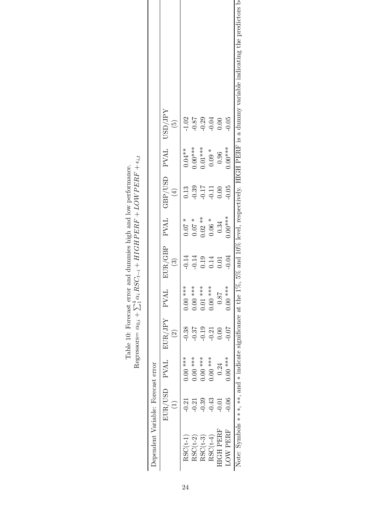| Dependent Variable: Forecast error                                      |                 |              |                                                     |                             |                                                  |                                                                             |                                                                                           |                                            |                                                     |                            |
|-------------------------------------------------------------------------|-----------------|--------------|-----------------------------------------------------|-----------------------------|--------------------------------------------------|-----------------------------------------------------------------------------|-------------------------------------------------------------------------------------------|--------------------------------------------|-----------------------------------------------------|----------------------------|
|                                                                         |                 | EUR/USD PVAL | EUR/JPY                                             | <b>PVAL</b>                 | EUR/GBP                                          | <b>PVAL</b>                                                                 | GBP/USD                                                                                   | <b>PVAL</b>                                | <b><i>Adf/GSD</i></b>                               |                            |
|                                                                         | $\widehat{\Xi}$ |              | $\widehat{\Omega}$                                  |                             | $\widetilde{\mathbb{C}}$                         |                                                                             | $\bigoplus$                                                                               |                                            | $\widetilde{\Theta}$                                |                            |
| $RSC(t-1)$                                                              | $-0.21$         | $0.00$ ***   |                                                     | $0.00***$                   |                                                  | $0.07*$                                                                     |                                                                                           | $0.04***$                                  |                                                     |                            |
| $\mathrm{RSC}(t\text{-}2)$                                              | $-0.21$         | $0.00$ ***   |                                                     |                             |                                                  |                                                                             |                                                                                           |                                            |                                                     |                            |
| $RSC(t-3)$                                                              | 0.39            | $0.00$ ***   |                                                     | $0.00$ ***<br>$***$<br>0.01 |                                                  |                                                                             |                                                                                           |                                            |                                                     |                            |
| $RSC(t-4)$                                                              | $-0.43$         | $0.00$ ***   | $-0.38$<br>$-0.37$<br>$-0.21$<br>$-0.21$<br>$-0.00$ | $0.00**$                    | $-0.14$<br>$-0.14$<br>$0.19$<br>$0.14$<br>$0.01$ | $\begin{array}{l} 0.07 * \\ 0.02 * \\ 0.06 * \\ 0.06 * \\ 0.34 \end{array}$ | $\begin{array}{c} 0.13 \\ -0.39 \\ -0.17 \\ -0.11 \\ 0.01 \end{array}$                    | $0.00***$<br>$0.01***$<br>$0.09$<br>$0.09$ | $-1.02$<br>$-0.87$<br>$-0.29$<br>$-0.04$<br>$-0.05$ |                            |
| <b>HIGH PERF</b>                                                        | $-0.01$         | 0.24         |                                                     | 78.0                        |                                                  |                                                                             |                                                                                           |                                            |                                                     |                            |
| LOW PERF                                                                | $-0.06$         | $0.00***$    | $-0.07$                                             | $0.00***$                   | $-0.04$                                          | $0.00***$                                                                   | $-0.05$                                                                                   | $0.00***$                                  |                                                     |                            |
| Note: Symbols $\ast \ast \ast \ast$ , $\ast \ast$ , and $\ast$ indicate |                 |              |                                                     |                             |                                                  |                                                                             | significance at the 1%, 5% and 10% level, respectively. HIGH PERF is a dummy variable ind |                                            |                                                     | licating the predictors be |
|                                                                         |                 |              |                                                     |                             |                                                  |                                                                             |                                                                                           |                                            |                                                     |                            |

<span id="page-24-0"></span>

| sortomor<br>;<br>)<br>)<br>st error and dummies high and low $\mathbf y$ | $\sim + 700 = 51$ |
|--------------------------------------------------------------------------|-------------------|
| Table 10: Forecast                                                       | Ĺ                 |
|                                                                          |                   |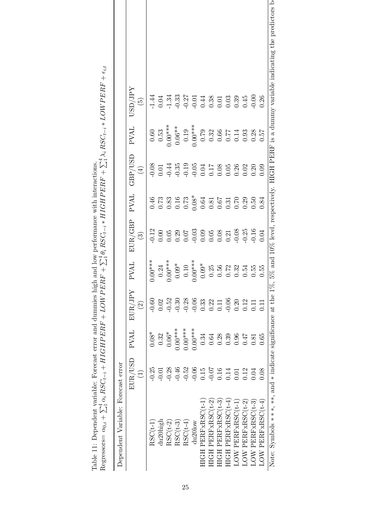| Dependent Variable: Forecast error |                            |                                                                                                                           |                                                                                                                                                                                                                    |                                                                                                                                                                                                                                                                                                                                |                        |                                                                                                                                                                                                                                                                                                                                                                                                                                 |                              |                                                                                                                                                                                                                                                                                                                                            |                                   |
|------------------------------------|----------------------------|---------------------------------------------------------------------------------------------------------------------------|--------------------------------------------------------------------------------------------------------------------------------------------------------------------------------------------------------------------|--------------------------------------------------------------------------------------------------------------------------------------------------------------------------------------------------------------------------------------------------------------------------------------------------------------------------------|------------------------|---------------------------------------------------------------------------------------------------------------------------------------------------------------------------------------------------------------------------------------------------------------------------------------------------------------------------------------------------------------------------------------------------------------------------------|------------------------------|--------------------------------------------------------------------------------------------------------------------------------------------------------------------------------------------------------------------------------------------------------------------------------------------------------------------------------------------|-----------------------------------|
|                                    | EUR/USD                    | <b>PVAL</b>                                                                                                               | EUR/JPY                                                                                                                                                                                                            | ${\rm PVAL}$                                                                                                                                                                                                                                                                                                                   | EUR/GBP                | <b>PVAL</b>                                                                                                                                                                                                                                                                                                                                                                                                                     | GBP/USD                      | <b>PVAL</b>                                                                                                                                                                                                                                                                                                                                | <b>Adf/GSD</b>                    |
|                                    | $\left(\frac{1}{2}\right)$ |                                                                                                                           | $\widehat{\infty}$                                                                                                                                                                                                 |                                                                                                                                                                                                                                                                                                                                | $\widehat{\mathbf{C}}$ |                                                                                                                                                                                                                                                                                                                                                                                                                                 | $\left( \frac{4}{2} \right)$ |                                                                                                                                                                                                                                                                                                                                            | $\begin{pmatrix} 5 \end{pmatrix}$ |
| $RSC(t-1)$                         | $-0.25$                    | $0.08^*$                                                                                                                  | $0.60\,$                                                                                                                                                                                                           | $\frac{1}{100}$                                                                                                                                                                                                                                                                                                                |                        |                                                                                                                                                                                                                                                                                                                                                                                                                                 |                              |                                                                                                                                                                                                                                                                                                                                            |                                   |
| du20high                           | $-0.01$                    | $0.32$<br>$0.06*$                                                                                                         | $\begin{array}{c} 0.02 \\ -0.52 \\ -0.30 \\ 0.28 \\ \hline \end{array} \begin{array}{c} 0.03 \\ -0.03 \\ 0.03 \\ 0.01 \\ \hline \end{array} \begin{array}{c} 0.01 \\ -0.03 \\ 0.01 \\ -0.01 \\ \hline \end{array}$ |                                                                                                                                                                                                                                                                                                                                |                        | $\begin{array}{cccccccccc} \mathfrak{g}&\mathbb{S}&\mathbb{S}&\mathbb{S}&\mathbb{S}&\mathbb{S}&\mathbb{S}&\mathbb{S}&\mathbb{S}&\mathbb{S}&\mathbb{S}&\mathbb{S}&\mathbb{S}&\mathbb{S}&\mathbb{S}&\mathbb{S}&\mathbb{S}&\mathbb{S}&\mathbb{S}&\mathbb{S}&\mathbb{S}&\mathbb{S}&\mathbb{S}&\mathbb{S}&\mathbb{S}&\mathbb{S}&\mathbb{S}&\mathbb{S}&\mathbb{S}&\mathbb{S}&\mathbb{S}&\mathbb{S}&\mathbb{S}&\mathbb{S}&\mathbb{S}&$ |                              | $\begin{array}{c} 0.60 \\ 0.53 \\ 0.53 \\ 0.00^{***} \\ 0.00^{***} \\ 0.00^{***} \\ 0.00^{***} \\ 0.00^{***} \\ 0.00^{***} \\ 0.000^{***} \\ 0.0000^{***} \\ 0.0000^{***} \\ 0.0000^{***} \\ 0.0000^{***} \\ 0.0000^{***} \\ 0.0000^{***} \\ 0.0000^{***} \\ 0.0000^{***} \\ 0.0000^{***} \\ 0.0000^{***} \\ 0.0000^{***} \\ 0.0000^{***}$ |                                   |
| $RSC(t-2)$                         | $-0.28$                    |                                                                                                                           |                                                                                                                                                                                                                    |                                                                                                                                                                                                                                                                                                                                |                        |                                                                                                                                                                                                                                                                                                                                                                                                                                 |                              |                                                                                                                                                                                                                                                                                                                                            |                                   |
| $RSC(t-3)$                         | $-0.46$                    | $0.00**$                                                                                                                  |                                                                                                                                                                                                                    |                                                                                                                                                                                                                                                                                                                                |                        |                                                                                                                                                                                                                                                                                                                                                                                                                                 |                              |                                                                                                                                                                                                                                                                                                                                            |                                   |
| $RSC(t-4)$                         | $-0.52$                    |                                                                                                                           |                                                                                                                                                                                                                    |                                                                                                                                                                                                                                                                                                                                |                        |                                                                                                                                                                                                                                                                                                                                                                                                                                 |                              |                                                                                                                                                                                                                                                                                                                                            |                                   |
| du20low                            | $-0.06$                    | $0.00***$<br>$0.00***$                                                                                                    |                                                                                                                                                                                                                    |                                                                                                                                                                                                                                                                                                                                |                        |                                                                                                                                                                                                                                                                                                                                                                                                                                 |                              |                                                                                                                                                                                                                                                                                                                                            |                                   |
| $H1GH$ PERFxRS $C(t-1)$            | 0.15                       |                                                                                                                           |                                                                                                                                                                                                                    |                                                                                                                                                                                                                                                                                                                                |                        |                                                                                                                                                                                                                                                                                                                                                                                                                                 |                              |                                                                                                                                                                                                                                                                                                                                            |                                   |
| $HIGH$ PERFxRSC(t-2)               | $-0.07$                    |                                                                                                                           |                                                                                                                                                                                                                    |                                                                                                                                                                                                                                                                                                                                |                        |                                                                                                                                                                                                                                                                                                                                                                                                                                 |                              |                                                                                                                                                                                                                                                                                                                                            |                                   |
| $HIGH$ PERFxRS $C(t-3)$            | $0.16\,$                   |                                                                                                                           |                                                                                                                                                                                                                    |                                                                                                                                                                                                                                                                                                                                |                        |                                                                                                                                                                                                                                                                                                                                                                                                                                 |                              |                                                                                                                                                                                                                                                                                                                                            |                                   |
| HIGH PERFxRSC(t-4)                 | 0.14                       |                                                                                                                           |                                                                                                                                                                                                                    |                                                                                                                                                                                                                                                                                                                                |                        |                                                                                                                                                                                                                                                                                                                                                                                                                                 |                              |                                                                                                                                                                                                                                                                                                                                            |                                   |
| $LOW$ PERFxRS $C(t-1)$             | 0.01                       |                                                                                                                           |                                                                                                                                                                                                                    |                                                                                                                                                                                                                                                                                                                                |                        |                                                                                                                                                                                                                                                                                                                                                                                                                                 |                              |                                                                                                                                                                                                                                                                                                                                            |                                   |
| $LOW$ PERFxRS $C(t-2)$             | 0.12                       | $\begin{array}{cccc}\n3 & 4 & 4 & 8 & 8 & 8 & 4 & 1\\ 0 & 0 & 0 & 0 & 0 & 0 & 0\\ 0 & 0 & 0 & 0 & 0 & 0 & 0\n\end{array}$ |                                                                                                                                                                                                                    | $\begin{array}{c} 0.24 \\ 0.00^{***} \\ 0.00^{***} \\ 0.00^{***} \\ 0.00^{***} \\ 0.00^{***} \\ 0.00^{**} \\ 0.00^{**} \\ 0.000^{**} \\ 0.0000^{**} \\ 0.0000^{**} \\ 0.0000^{**} \\ 0.0000^{**} \\ 0.0000^{**} \\ 0.0000^{**} \\ 0.0000^{**} \\ 0.0000^{**} \\ 0.0000^{**} \\ 0.0000^{**} \\ 0.0000^{**} \\ 0.0000^{**} \\ 0$ |                        |                                                                                                                                                                                                                                                                                                                                                                                                                                 |                              |                                                                                                                                                                                                                                                                                                                                            |                                   |
| $LOW$ PERFxRS $C(t-3)$             | 0.04                       |                                                                                                                           |                                                                                                                                                                                                                    |                                                                                                                                                                                                                                                                                                                                |                        |                                                                                                                                                                                                                                                                                                                                                                                                                                 |                              |                                                                                                                                                                                                                                                                                                                                            |                                   |
| $LOW$ PERFxRS $C(t-4)$             | 0.08                       | 0.65                                                                                                                      |                                                                                                                                                                                                                    |                                                                                                                                                                                                                                                                                                                                | 0.04                   |                                                                                                                                                                                                                                                                                                                                                                                                                                 | 0.09                         |                                                                                                                                                                                                                                                                                                                                            |                                   |

<span id="page-25-0"></span>Table 11: Dependent variable: Forecast error and dummies high and low performance with interactions. Regressors=  $\alpha_{0,i}$  +  $\vec{\lambda}$  $_1^\ast \alpha_i\,RSC_{t-i} + HIGHPERF$  $+$  LOW PERF + $\vec{\lambda}$  $\theta_i$ .RS $C_{t-i} * HIGHPERF$ + $\vec{\lambda}$  $\lambda_i\,RSC_{t−i}\ast LOWPERR$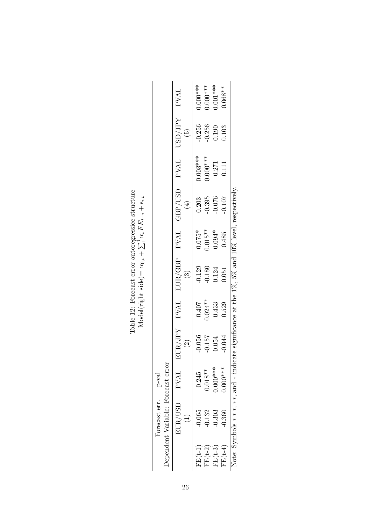<span id="page-26-0"></span>

| EUR/USD                                     | <b>PVAL</b> |                          |             |                           |                        |                                         |                    |                                                                                                                                                                |                          |
|---------------------------------------------|-------------|--------------------------|-------------|---------------------------|------------------------|-----------------------------------------|--------------------|----------------------------------------------------------------------------------------------------------------------------------------------------------------|--------------------------|
|                                             |             | EUR/JPY<br>$\widehat{c}$ | <b>PVAL</b> | EUR/GBP<br>$\binom{3}{2}$ | <b>PVAL</b>            | GBP/USD<br>$\left( \frac{1}{2} \right)$ | <b>PVAL</b>        | $\ensuremath{\mathsf{U}}\ensuremath{\mathsf{S}}\ensuremath{\mathsf{D}}/\ensuremath{\mathsf{J}}\ensuremath{\mathsf{P}}\ensuremath{\mathsf{Y}}$<br>$\widehat{c}$ | <b>PVAL</b>              |
| 0.065<br>$\text{FE}(t-1)$                   | 0.245       | $-0.056$                 | 0.407       | $-0.129$                  | $0.075*$               |                                         | $0.003***$         | $-0.256$                                                                                                                                                       | $0.000***$               |
| 0.132<br>$\mathrm{FE(t\text{-}2)}$          | $0.018**$   | $-0.157$                 | $0.024***$  | $-0.180$                  | $0.015***$<br>$0.094*$ | $0.203$<br>$0.395$                      | $0.000***$         | $-0.256$                                                                                                                                                       |                          |
| 0.303<br>$\mathrm{FE(t\text{-}3)}$          | $0.000***$  | 0.054                    | 0.433       | 0.124                     |                        | $0.1076$<br>0.107                       | $0.271$<br>$0.111$ | 0.190                                                                                                                                                          | $0.000***$<br>$0.001***$ |
| 0.360<br>$\mathrm{FE}(\mathrm{t\text{-}4})$ | $0.000***$  | $-0.044$                 | 0.529       | 0.051                     | 0.485                  |                                         |                    | 0.103                                                                                                                                                          | $0.068**$                |

Table 12: Forecast error autoregressice structure<br>Model(right side)=  $\alpha_{0,i} + \sum_{i=1}^{4} \alpha_i F E_{t-i} + \epsilon_{i,t}$ Table 12: Forecast error autoregressice structure Model(right side)=  $\alpha_{0,i} + \sum_{1}^{4} \alpha_{i} F E_{t-i} + \epsilon_{i,t}$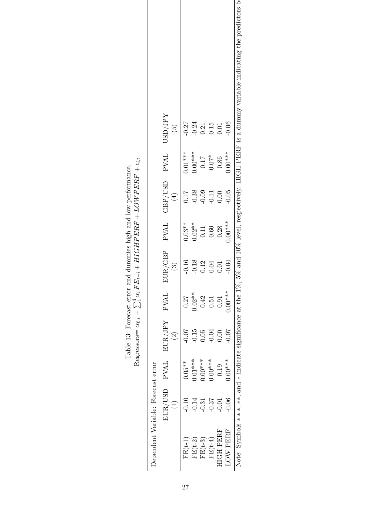|                    | Dependent Variable: Forecast error |           |                                                     |                                                                             |                                                   |                                                    |                                                                        |                                         |                                                   |  |
|--------------------|------------------------------------|-----------|-----------------------------------------------------|-----------------------------------------------------------------------------|---------------------------------------------------|----------------------------------------------------|------------------------------------------------------------------------|-----------------------------------------|---------------------------------------------------|--|
|                    | EUR/USD PVAL                       |           | EUR/JPY                                             | <b>PVAL</b>                                                                 | EUR/GBP                                           | <b>PVAL</b>                                        | GBP/USD                                                                | <b>PVAL</b>                             | <b>Adf/GSD</b>                                    |  |
|                    | $\begin{pmatrix} 1 \end{pmatrix}$  |           | $\widehat{\Omega}$                                  |                                                                             | $\widehat{\mathcal{E}}$                           |                                                    | $\bigoplus$                                                            |                                         | $\widetilde{\Theta}$                              |  |
| $\mathrm{FE(t-1)}$ | 0.10                               | $0.05***$ |                                                     |                                                                             |                                                   |                                                    |                                                                        | $0.01***$                               |                                                   |  |
| $FE(t-2)$          | $-0.14$                            | $0.01***$ |                                                     |                                                                             |                                                   |                                                    |                                                                        |                                         |                                                   |  |
| $FE(t-3)$          | 0.31                               | $0.00***$ |                                                     |                                                                             |                                                   |                                                    |                                                                        |                                         |                                                   |  |
| $FE(t-4)$          | $-0.37$                            | $0.00***$ | $-0.07$<br>$-0.15$<br>$-0.05$<br>$-0.04$<br>$-0.04$ | $\begin{array}{c} 0.27 \\ 0.02^{**} \\ 0.42 \\ 0.51 \\ 0.91 \\ \end{array}$ | $-0.16$<br>$-0.18$<br>$0.12$<br>$0.04$<br>$-0.04$ | $0.03**$<br>$0.02**$<br>$0.11$<br>$0.60$<br>$0.28$ | $\begin{array}{c} 0.17 \\ -0.38 \\ -0.09 \\ -0.11 \\ 0.01 \end{array}$ | $70.00$<br>71.0<br>71.0<br>71.0<br>71.0 | $-0.27$<br>$-0.24$<br>$0.15$<br>$0.01$<br>$-0.06$ |  |
| <b>HIGH PERF</b>   | $-0.01$                            | 0.19      |                                                     |                                                                             |                                                   |                                                    |                                                                        |                                         |                                                   |  |
| LOW PERF           | $-0.06$                            | $0.00***$ | $-0.07$                                             | $0.00***$                                                                   |                                                   | $0.00***$                                          | 0.05                                                                   | $0.00***$                               |                                                   |  |

<span id="page-27-0"></span>Table 13: Forecast error and dummies high and low performance.<br>Regressors=  $\alpha_{0,i} + \sum_1^4 \alpha_i \, F E_{t-i} + HIGHPERF + LOWPERF + \epsilon_{i,t}$ Regressors=  $\alpha_{0,i}$  +  $\sum_1^4 \alpha_i$  F  $E_{t-i}$  + H IGHP ERF + LOW P ERF +  $\epsilon_{i,t}$ Table 13: Forecast error and dummies high and low performance.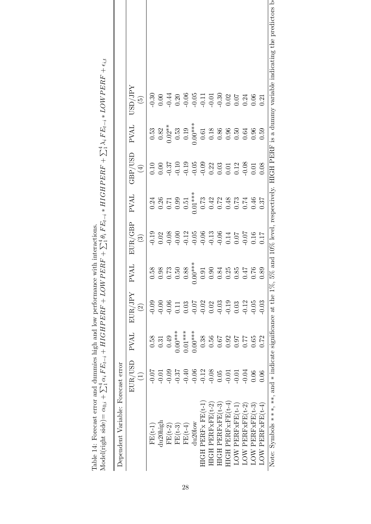| Dependent Variable: Forecast error |                                       |                                             |                                                                                                                                                                                                                                                                                                                                                                                                                                                   |                                                                        |                                                                                                                                                                                                                                                                                              |                                                                                                                                                                      |                        |             |                          |
|------------------------------------|---------------------------------------|---------------------------------------------|---------------------------------------------------------------------------------------------------------------------------------------------------------------------------------------------------------------------------------------------------------------------------------------------------------------------------------------------------------------------------------------------------------------------------------------------------|------------------------------------------------------------------------|----------------------------------------------------------------------------------------------------------------------------------------------------------------------------------------------------------------------------------------------------------------------------------------------|----------------------------------------------------------------------------------------------------------------------------------------------------------------------|------------------------|-------------|--------------------------|
|                                    | EUR/USD<br>$\left(\frac{1}{2}\right)$ | <b>PVAL</b>                                 | EUR/JPY<br>$\widehat{\Omega}$                                                                                                                                                                                                                                                                                                                                                                                                                     | <b>PVAL</b>                                                            | EUR/GBP<br>$\widehat{\mathbf{C}}$                                                                                                                                                                                                                                                            | <b>PVAL</b>                                                                                                                                                          | GBP/USD<br>$\bigoplus$ | <b>PVAL</b> | Adf/GSD<br>$\widehat{5}$ |
| $\mathrm{FE(t-1)}$                 | $-0.07$                               |                                             |                                                                                                                                                                                                                                                                                                                                                                                                                                                   |                                                                        |                                                                                                                                                                                                                                                                                              |                                                                                                                                                                      |                        |             |                          |
| du20high                           | $-0.01$                               | $\begin{array}{c} 0.58 \\ 0.31 \end{array}$ |                                                                                                                                                                                                                                                                                                                                                                                                                                                   |                                                                        |                                                                                                                                                                                                                                                                                              |                                                                                                                                                                      |                        |             |                          |
| $FE(t-2)$                          | $-0.09$                               | 0.49                                        |                                                                                                                                                                                                                                                                                                                                                                                                                                                   | $0.58$<br>$0.98$<br>$0.73$<br>$0.50$<br>$0.88$<br>$0.84$<br>$0.00$ *** |                                                                                                                                                                                                                                                                                              |                                                                                                                                                                      |                        |             |                          |
| $FE(t-3)$                          | $-0.37$                               | $0.00***$                                   |                                                                                                                                                                                                                                                                                                                                                                                                                                                   |                                                                        |                                                                                                                                                                                                                                                                                              |                                                                                                                                                                      |                        |             |                          |
| $FE(t-4)$                          | $-0.40$                               | $0.01***$                                   |                                                                                                                                                                                                                                                                                                                                                                                                                                                   |                                                                        |                                                                                                                                                                                                                                                                                              |                                                                                                                                                                      |                        |             |                          |
| du201ow                            | $-0.06$                               | $0.00***$                                   |                                                                                                                                                                                                                                                                                                                                                                                                                                                   |                                                                        |                                                                                                                                                                                                                                                                                              |                                                                                                                                                                      |                        |             |                          |
| $HIGH$ PERFx $FE(t-1)$             | $-0.12$                               |                                             | $\begin{array}{l} 0 \\ 0 \\ 0 \\ 0 \\ 0 \\ \end{array} \hspace{-.7cm} \begin{array}{l} 0 \\ 0 \\ 0 \\ 0 \\ 0 \\ 0 \\ \end{array} \hspace{-.7cm} \begin{array}{l} 0 \\ 0 \\ 0 \\ 0 \\ 0 \\ 0 \\ \end{array} \hspace{-.7cm} \begin{array}{l} 0 \\ 0 \\ 0 \\ 0 \\ 0 \\ 0 \\ \end{array} \hspace{-.7cm} \begin{array}{l} 0 \\ 0 \\ 0 \\ 0 \\ 0 \\ 0 \\ \end{array} \hspace{-.7cm} \begin{array}{l} 0 \\ 0 \\ 0 \\ 0 \\ 0 \\ 0 \\ \end{array} \hspace$ |                                                                        | $\begin{array}{l} 119 \\ 000 \\ 000 \\ 000 \\ \end{array} \begin{array}{l} 219 \\ 000 \\ 000 \\ 000 \\ \end{array} \end{array} \begin{array}{l} 119 \\ 000 \\ 000 \\ 000 \\ \end{array} \begin{array}{l} 129 \\ 000 \\ 000 \\ \end{array} \begin{array}{l} 129 \\ 000 \\ 000 \\ \end{array}$ | 22<br>22 22 32 34 35 36 36 36 36 36 36 36 36 36 37<br>23 36 37 38 39 30 31 32 33 34 35 35 36 37 38 39 30 31 31 32 33 34 35 35 36 36 37 38 39 30 31 31 32 35 36 37 37 |                        |             |                          |
| $HIGH$ PERFxFE $(t-2)$             | $-0.08$                               |                                             |                                                                                                                                                                                                                                                                                                                                                                                                                                                   |                                                                        |                                                                                                                                                                                                                                                                                              |                                                                                                                                                                      |                        |             |                          |
| $H G H P E R F x F E (t-3)$        | $0.05\,$                              | 59<br>1166<br>1169<br>1000000               |                                                                                                                                                                                                                                                                                                                                                                                                                                                   |                                                                        |                                                                                                                                                                                                                                                                                              |                                                                                                                                                                      |                        |             |                          |
| $HIGH$ PERFx:FE $(t-4)$            | $-0.01$                               |                                             |                                                                                                                                                                                                                                                                                                                                                                                                                                                   |                                                                        |                                                                                                                                                                                                                                                                                              |                                                                                                                                                                      |                        |             |                          |
| $LOW$ PERFxFE $(t-1)$              | $-0.01$                               |                                             |                                                                                                                                                                                                                                                                                                                                                                                                                                                   |                                                                        |                                                                                                                                                                                                                                                                                              |                                                                                                                                                                      |                        |             |                          |
| $LOW$ PERFxFE( $t$ -2)             | $-0.04$                               |                                             |                                                                                                                                                                                                                                                                                                                                                                                                                                                   |                                                                        |                                                                                                                                                                                                                                                                                              |                                                                                                                                                                      |                        |             |                          |
| $LOW$ PERFxFE(t-3)                 | 0.06                                  |                                             |                                                                                                                                                                                                                                                                                                                                                                                                                                                   |                                                                        |                                                                                                                                                                                                                                                                                              |                                                                                                                                                                      |                        |             |                          |
| $LOW$ PERFxFE $(t-4)$              | 0.06                                  | 0.72                                        | 0.03                                                                                                                                                                                                                                                                                                                                                                                                                                              |                                                                        |                                                                                                                                                                                                                                                                                              |                                                                                                                                                                      | 0.08                   |             |                          |

<span id="page-28-0"></span>Table 14: Forecast error and dummies high and low performance with interactions.  $\vec{\lambda}$ + $\vec{\lambda}$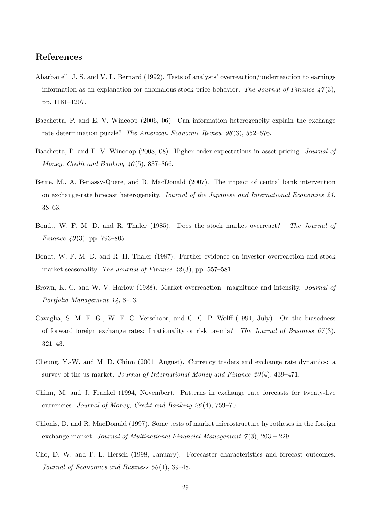# References

- <span id="page-29-11"></span>Abarbanell, J. S. and V. L. Bernard (1992). Tests of analysts' overreaction/underreaction to earnings information as an explanation for anomalous stock price behavior. The Journal of Finance  $47(3)$ , pp. 1181–1207.
- <span id="page-29-1"></span>Bacchetta, P. and E. V. Wincoop (2006, 06). Can information heterogeneity explain the exchange rate determination puzzle? The American Economic Review 96(3), 552–576.
- <span id="page-29-2"></span>Bacchetta, P. and E. V. Wincoop (2008, 08). Higher order expectations in asset pricing. Journal of Money, Credit and Banking  $40(5)$ , 837–866.
- <span id="page-29-7"></span>Beine, M., A. Benassy-Quere, and R. MacDonald (2007). The impact of central bank intervention on exchange-rate forecast heterogeneity. Journal of the Japanese and International Economies 21, 38–63.
- <span id="page-29-3"></span>Bondt, W. F. M. D. and R. Thaler (1985). Does the stock market overreact? The Journal of *Finance* 40(3), pp. 793–805.
- <span id="page-29-4"></span>Bondt, W. F. M. D. and R. H. Thaler (1987). Further evidence on investor overreaction and stock market seasonality. The Journal of Finance  $42(3)$ , pp. 557–581.
- <span id="page-29-5"></span>Brown, K. C. and W. V. Harlow (1988). Market overreaction: magnitude and intensity. Journal of Portfolio Management 14, 6–13.
- <span id="page-29-8"></span>Cavaglia, S. M. F. G., W. F. C. Verschoor, and C. C. P. Wolff (1994, July). On the biasedness of forward foreign exchange rates: Irrationality or risk premia? The Journal of Business  $67(3)$ , 321–43.
- <span id="page-29-9"></span>Cheung, Y.-W. and M. D. Chinn (2001, August). Currency traders and exchange rate dynamics: a survey of the us market. Journal of International Money and Finance 20(4), 439–471.
- <span id="page-29-10"></span>Chinn, M. and J. Frankel (1994, November). Patterns in exchange rate forecasts for twenty-five currencies. Journal of Money, Credit and Banking 26 (4), 759–70.
- <span id="page-29-0"></span>Chionis, D. and R. MacDonald (1997). Some tests of market microstructure hypotheses in the foreign exchange market. Journal of Multinational Financial Management  $\gamma(3)$ , 203 – 229.
- <span id="page-29-6"></span>Cho, D. W. and P. L. Hersch (1998, January). Forecaster characteristics and forecast outcomes. Journal of Economics and Business  $50(1)$ , 39-48.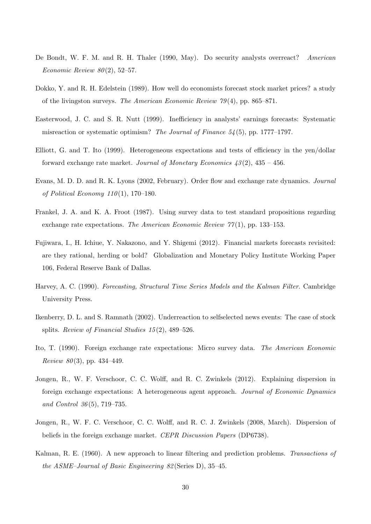- <span id="page-30-5"></span>De Bondt, W. F. M. and R. H. Thaler (1990, May). Do security analysts overreact? American Economic Review  $80(2)$ , 52–57.
- <span id="page-30-2"></span>Dokko, Y. and R. H. Edelstein (1989). How well do economists forecast stock market prices? a study of the livingston surveys. The American Economic Review  $79(4)$ , pp. 865–871.
- <span id="page-30-0"></span>Easterwood, J. C. and S. R. Nutt (1999). Inefficiency in analysts' earnings forecasts: Systematic misreaction or systematic optimism? The Journal of Finance  $54(5)$ , pp. 1777–1797.
- <span id="page-30-9"></span>Elliott, G. and T. Ito (1999). Heterogeneous expectations and tests of efficiency in the yen/dollar forward exchange rate market. Journal of Monetary Economics  $43(2)$ ,  $435 - 456$ .
- <span id="page-30-8"></span>Evans, M. D. D. and R. K. Lyons (2002, February). Order flow and exchange rate dynamics. Journal of Political Economy  $110(1)$ , 170-180.
- <span id="page-30-1"></span>Frankel, J. A. and K. A. Froot (1987). Using survey data to test standard propositions regarding exchange rate expectations. The American Economic Review  $77(1)$ , pp. 133–153.
- <span id="page-30-7"></span>Fujiwara, I., H. Ichiue, Y. Nakazono, and Y. Shigemi (2012). Financial markets forecasts revisited: are they rational, herding or bold? Globalization and Monetary Policy Institute Working Paper 106, Federal Reserve Bank of Dallas.
- <span id="page-30-12"></span>Harvey, A. C. (1990). Forecasting, Structural Time Series Models and the Kalman Filter. Cambridge University Press.
- <span id="page-30-6"></span>Ikenberry, D. L. and S. Ramnath (2002). Underreaction to selfselected news events: The case of stock splits. Review of Financial Studies 15 (2), 489–526.
- <span id="page-30-3"></span>Ito, T. (1990). Foreign exchange rate expectations: Micro survey data. The American Economic Review 80(3), pp. 434-449.
- <span id="page-30-10"></span>Jongen, R., W. F. Verschoor, C. C. Wolff, and R. C. Zwinkels (2012). Explaining dispersion in foreign exchange expectations: A heterogeneous agent approach. Journal of Economic Dynamics and Control 36 (5), 719–735.
- <span id="page-30-4"></span>Jongen, R., W. F. C. Verschoor, C. C. Wolff, and R. C. J. Zwinkels (2008, March). Dispersion of beliefs in the foreign exchange market. CEPR Discussion Papers (DP6738).
- <span id="page-30-11"></span>Kalman, R. E. (1960). A new approach to linear filtering and prediction problems. Transactions of the ASME–Journal of Basic Engineering 82 (Series D), 35–45.